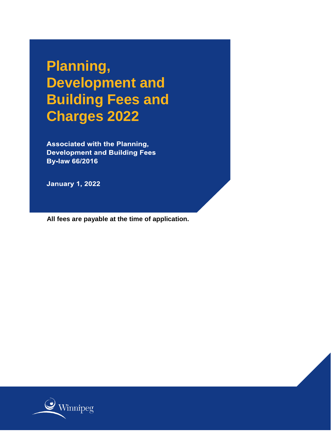**Planning, Development and Building Fees and Charges 2022**

**Associated with the Planning, Development and Building Fees By-law 66/2016** 

**January 1, 2022** 

**All fees are payable at the time of application.**

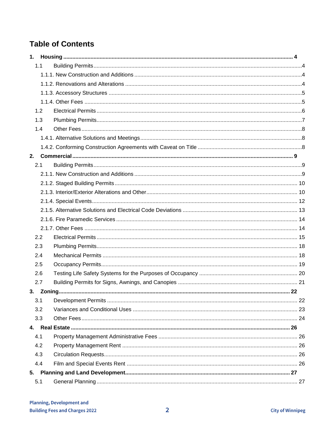# **Table of Contents**

| 1.1 |  |
|-----|--|
|     |  |
|     |  |
|     |  |
|     |  |
| 1.2 |  |
| 1.3 |  |
| 1.4 |  |
|     |  |
|     |  |
| 2.  |  |
| 2.1 |  |
|     |  |
|     |  |
|     |  |
|     |  |
|     |  |
|     |  |
|     |  |
| 2.2 |  |
| 2.3 |  |
| 2.4 |  |
| 2.5 |  |
| 2.6 |  |
| 2.7 |  |
|     |  |
| 3.1 |  |
| 3.2 |  |
| 3.3 |  |
|     |  |
| 4.1 |  |
| 4.2 |  |
| 4.3 |  |
| 4.4 |  |
| 5.  |  |
| 5.1 |  |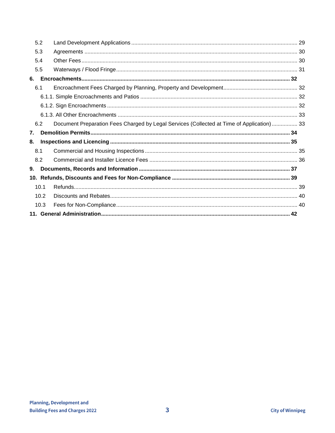|    | 5.2  |                                                                                           |  |
|----|------|-------------------------------------------------------------------------------------------|--|
|    | 5.3  |                                                                                           |  |
|    | 5.4  |                                                                                           |  |
|    | 5.5  |                                                                                           |  |
| 6. |      |                                                                                           |  |
|    | 6.1  |                                                                                           |  |
|    |      |                                                                                           |  |
|    |      |                                                                                           |  |
|    |      |                                                                                           |  |
|    | 6.2  | Document Preparation Fees Charged by Legal Services (Collected at Time of Application) 33 |  |
|    |      |                                                                                           |  |
| 7. |      |                                                                                           |  |
| 8. |      |                                                                                           |  |
|    | 8.1  |                                                                                           |  |
|    | 8.2  |                                                                                           |  |
| 9. |      |                                                                                           |  |
|    |      |                                                                                           |  |
|    | 10.1 |                                                                                           |  |
|    | 10.2 |                                                                                           |  |
|    | 10.3 |                                                                                           |  |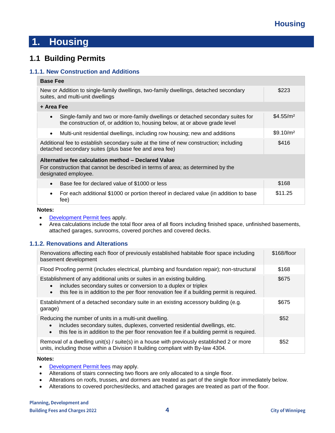# <span id="page-3-0"></span>**1. Housing**

## <span id="page-3-1"></span>**1.1 Building Permits**

#### <span id="page-3-2"></span>**1.1.1. New Construction and Additions**

| <b>Base Fee</b>                                                                                                                                                             |                       |  |
|-----------------------------------------------------------------------------------------------------------------------------------------------------------------------------|-----------------------|--|
| New or Addition to single-family dwellings, two-family dwellings, detached secondary<br>suites, and multi-unit dwellings                                                    | \$223                 |  |
| + Area Fee                                                                                                                                                                  |                       |  |
| Single-family and two or more-family dwellings or detached secondary suites for<br>$\bullet$<br>the construction of, or addition to, housing below, at or above grade level | \$4.55/m <sup>2</sup> |  |
| Multi-unit residential dwellings, including row housing; new and additions<br>$\bullet$                                                                                     | \$9.10/m <sup>2</sup> |  |
| Additional fee to establish secondary suite at the time of new construction; including<br>detached secondary suites (plus base fee and area fee)                            | \$416                 |  |
| Alternative fee calculation method - Declared Value<br>For construction that cannot be described in terms of area; as determined by the<br>designated employee.             |                       |  |
| Base fee for declared value of \$1000 or less                                                                                                                               | \$168                 |  |
| For each additional \$1000 or portion thereof in declared value (in addition to base<br>٠<br>fee)                                                                           | \$11.25               |  |

#### **Notes:**

- [Development Permit fees](#page-21-1) apply.
- Area calculations include the total floor area of all floors including finished space, unfinished basements, attached garages, sunrooms, covered porches and covered decks.

### <span id="page-3-3"></span>**1.1.2. Renovations and Alterations**

| Renovations affecting each floor of previously established habitable floor space including<br>basement development                                                                                                                                   | \$168/floor |
|------------------------------------------------------------------------------------------------------------------------------------------------------------------------------------------------------------------------------------------------------|-------------|
| Flood Proofing permit (includes electrical, plumbing and foundation repair); non-structural                                                                                                                                                          | \$168       |
| Establishment of any additional units or suites in an existing building.<br>includes secondary suites or conversion to a duplex or triplex<br>this fee is in addition to the per floor renovation fee if a building permit is required.<br>$\bullet$ | \$675       |
| Establishment of a detached secondary suite in an existing accessory building (e.g.<br>garage)                                                                                                                                                       | \$675       |
| Reducing the number of units in a multi-unit dwelling.<br>includes secondary suites, duplexes, converted residential dwellings, etc.<br>this fee is in addition to the per floor renovation fee if a building permit is required.<br>$\bullet$       | \$52        |
| Removal of a dwelling unit(s) / suite(s) in a house with previously established 2 or more<br>units, including those within a Division II building compliant with By-law 4304.                                                                        | \$52        |

#### **Notes:**

- [Development Permit fees](#page-21-1) may apply.
- Alterations of stairs connecting two floors are only allocated to a single floor.
- Alterations on roofs, trusses, and dormers are treated as part of the single floor immediately below.
- Alterations to covered porches/decks, and attached garages are treated as part of the floor.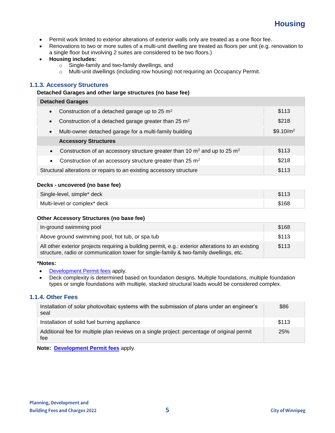

- Permit work limited to exterior alterations of exterior walls only are treated as a one floor fee.
- Renovations to two or more suites of a multi-unit dwelling are treated as floors per unit (e.g. renovation to a single floor but involving 2 suites are considered to be two floors.)
- **Housing includes:**
	- o Single-family and two-family dwellings, and
	- o Multi-unit dwellings (including row housing) not requiring an Occupancy Permit.

#### <span id="page-4-0"></span>**1.1.3. Accessory Structures**

#### **Detached Garages and other large structures (no base fee)**

| <b>Detached Garages</b>                                                                       |                       |  |
|-----------------------------------------------------------------------------------------------|-----------------------|--|
| Construction of a detached garage up to 25 m <sup>2</sup><br>$\bullet$                        | \$113                 |  |
| Construction of a detached garage greater than $25 \text{ m}^2$<br>$\bullet$                  | \$218                 |  |
| Multi-owner detached garage for a multi-family building<br>$\bullet$                          | \$9.10/m <sup>2</sup> |  |
| <b>Accessory Structures</b>                                                                   |                       |  |
| Construction of an accessory structure greater than 10 $\text{m}^2$ and up to 25 $\text{m}^2$ | \$113                 |  |
| Construction of an accessory structure greater than 25 m <sup>2</sup><br>$\bullet$            | \$218                 |  |
| Structural alterations or repairs to an existing accessory structure                          | \$113                 |  |

#### **Decks - uncovered (no base fee)**

| Single-level, simple* deck   | \$113 |
|------------------------------|-------|
| Multi-level or complex* deck | \$168 |

#### **Other Accessory Structures (no base fee)**

| In-ground swimming pool                                                                                                                                                                      | \$168 |
|----------------------------------------------------------------------------------------------------------------------------------------------------------------------------------------------|-------|
| Above ground swimming pool, hot tub, or spa tub                                                                                                                                              | \$113 |
| All other exterior projects requiring a building permit, e.g.: exterior alterations to an existing<br>structure, radio or communication tower for single-family & two-family dwellings, etc. | \$113 |

#### **\*Notes:**

- [Development Permit fees](#page-21-1) apply.
- Deck complexity is determined based on foundation designs. Multiple foundations, multiple foundation types or single foundations with multiple, stacked structural loads would be considered complex.

#### <span id="page-4-1"></span>**1.1.4. Other Fees**

| Installation of solar photovoltaic systems with the submission of plans under an engineer's<br>seal | \$86  |
|-----------------------------------------------------------------------------------------------------|-------|
| Installation of solid fuel burning appliance                                                        | \$113 |
| Additional fee for multiple plan reviews on a single project: percentage of original permit<br>fee  | 25%   |

**Note: [Development Permit fees](#page-21-1)** apply.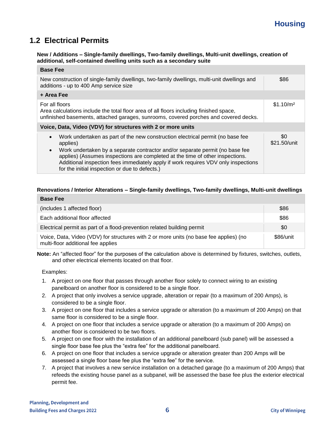# <span id="page-5-0"></span>**1.2 Electrical Permits**

#### **New / Additions – Single-family dwellings, Two-family dwellings, Multi-unit dwellings, creation of additional, self-contained dwelling units such as a secondary suite**

| <b>Base Fee</b>                                                                                                                                                                                                                                                                                                                                                                                                               |                       |
|-------------------------------------------------------------------------------------------------------------------------------------------------------------------------------------------------------------------------------------------------------------------------------------------------------------------------------------------------------------------------------------------------------------------------------|-----------------------|
| New construction of single-family dwellings, two-family dwellings, multi-unit dwellings and<br>additions - up to 400 Amp service size                                                                                                                                                                                                                                                                                         | \$86                  |
| + Area Fee                                                                                                                                                                                                                                                                                                                                                                                                                    |                       |
| For all floors<br>Area calculations include the total floor area of all floors including finished space,<br>unfinished basements, attached garages, sunrooms, covered porches and covered decks.                                                                                                                                                                                                                              | \$1.10/m <sup>2</sup> |
| Voice, Data, Video (VDV) for structures with 2 or more units                                                                                                                                                                                                                                                                                                                                                                  |                       |
| Work undertaken as part of the new construction electrical permit (no base fee<br>$\bullet$<br>applies)<br>Work undertaken by a separate contractor and/or separate permit (no base fee<br>$\bullet$<br>applies) (Assumes inspections are completed at the time of other inspections.<br>Additional inspection fees immediately apply if work requires VDV only inspections<br>for the initial inspection or due to defects.) | \$0<br>\$21.50/unit   |

#### **Renovations / Interior Alterations – Single-family dwellings, Two-family dwellings, Multi-unit dwellings**

| <b>Base Fee</b>                                                                                                              |           |
|------------------------------------------------------------------------------------------------------------------------------|-----------|
| (includes 1 affected floor)                                                                                                  | \$86      |
| Each additional floor affected                                                                                               | \$86      |
| Electrical permit as part of a flood-prevention related building permit                                                      | \$0       |
| Voice, Data, Video (VDV) for structures with 2 or more units (no base fee applies) (no<br>multi-floor additional fee applies | \$86/unit |

**Note:** An "affected floor" for the purposes of the calculation above is determined by fixtures, switches, outlets, and other electrical elements located on that floor.

Examples:

- 1. A project on one floor that passes through another floor solely to connect wiring to an existing panelboard on another floor is considered to be a single floor.
- 2. A project that only involves a service upgrade, alteration or repair (to a maximum of 200 Amps), is considered to be a single floor.
- 3. A project on one floor that includes a service upgrade or alteration (to a maximum of 200 Amps) on that same floor is considered to be a single floor.
- 4. A project on one floor that includes a service upgrade or alteration (to a maximum of 200 Amps) on another floor is considered to be two floors.
- 5. A project on one floor with the installation of an additional panelboard (sub panel) will be assessed a single floor base fee plus the "extra fee" for the additional panelboard.
- 6. A project on one floor that includes a service upgrade or alteration greater than 200 Amps will be assessed a single floor base fee plus the "extra fee" for the service.
- 7. A project that involves a new service installation on a detached garage (to a maximum of 200 Amps) that refeeds the existing house panel as a subpanel, will be assessed the base fee plus the exterior electrical permit fee.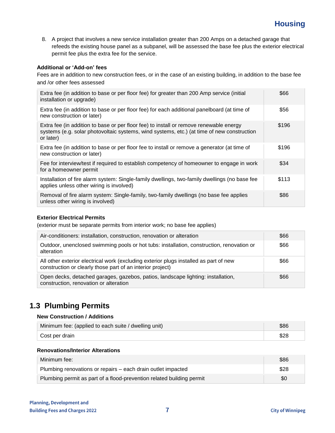8. A project that involves a new service installation greater than 200 Amps on a detached garage that refeeds the existing house panel as a subpanel, will be assessed the base fee plus the exterior electrical permit fee plus the extra fee for the service.

#### **Additional or 'Add-on' fees**

Fees are in addition to new construction fees, or in the case of an existing building, in addition to the base fee and /or other fees assessed

| Extra fee (in addition to base or per floor fee) for greater than 200 Amp service (initial<br>installation or upgrade)                                                                            | \$66  |
|---------------------------------------------------------------------------------------------------------------------------------------------------------------------------------------------------|-------|
| Extra fee (in addition to base or per floor fee) for each additional panelboard (at time of<br>new construction or later)                                                                         | \$56  |
| Extra fee (in addition to base or per floor fee) to install or remove renewable energy<br>systems (e.g. solar photovoltaic systems, wind systems, etc.) (at time of new construction<br>or later) | \$196 |
| Extra fee (in addition to base or per floor fee to install or remove a generator (at time of<br>new construction or later)                                                                        | \$196 |
| Fee for interview/test if required to establish competency of homeowner to engage in work<br>for a homeowner permit                                                                               | \$34  |
| Installation of fire alarm system: Single-family dwellings, two-family dwellings (no base fee<br>applies unless other wiring is involved)                                                         | \$113 |
| Removal of fire alarm system: Single-family, two-family dwellings (no base fee applies<br>unless other wiring is involved)                                                                        | \$86  |

#### **Exterior Electrical Permits**

(exterior must be separate permits from interior work; no base fee applies)

| Air-conditioners: installation, construction, renovation or alteration                                                                              | \$66 |
|-----------------------------------------------------------------------------------------------------------------------------------------------------|------|
| Outdoor, unenclosed swimming pools or hot tubs: installation, construction, renovation or<br>alteration                                             | \$66 |
| All other exterior electrical work (excluding exterior plugs installed as part of new<br>construction or clearly those part of an interior project) | \$66 |
| Open decks, detached garages, gazebos, patios, landscape lighting: installation,<br>construction, renovation or alteration                          | \$66 |

## <span id="page-6-0"></span>**1.3 Plumbing Permits**

#### **New Construction / Additions**

| Minimum fee: (applied to each suite / dwelling unit) | \$86 |
|------------------------------------------------------|------|
| Cost per drain                                       |      |

#### **Renovations/Interior Alterations**

| Minimum fee:                                                          | \$86 |
|-----------------------------------------------------------------------|------|
| Plumbing renovations or repairs – each drain outlet impacted          | \$28 |
| Plumbing permit as part of a flood-prevention related building permit | \$0  |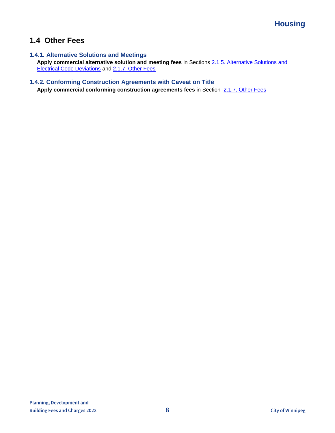## <span id="page-7-0"></span>**1.4 Other Fees**

## <span id="page-7-1"></span>**1.4.1. Alternative Solutions and Meetings**

**Apply commercial alternative solution and meeting fees** in Sections [2.1.5. Alternative Solutions and](#page-12-0)  [Electrical Code Deviations](#page-12-0) and [2.1.7. Other Fees](#page-13-1)

### <span id="page-7-2"></span>**1.4.2. Conforming Construction Agreements with Caveat on Title**

**Apply commercial conforming construction agreements fees** in Section [2.1.7. Other Fees](#page-13-1)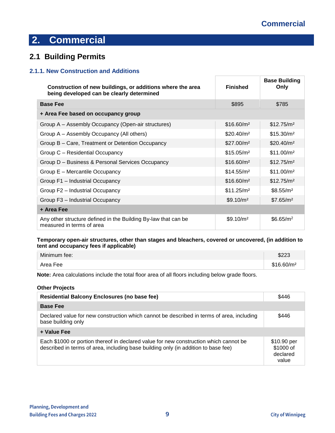## <span id="page-8-1"></span><span id="page-8-0"></span>**2.1 Building Permits**

### <span id="page-8-2"></span>**2.1.1. New Construction and Additions**

| Construction of new buildings, or additions where the area<br>being developed can be clearly determined | <b>Finished</b>        | <b>Base Building</b><br>Only |
|---------------------------------------------------------------------------------------------------------|------------------------|------------------------------|
| <b>Base Fee</b>                                                                                         | \$895                  | \$785                        |
| + Area Fee based on occupancy group                                                                     |                        |                              |
| Group A – Assembly Occupancy (Open-air structures)                                                      | \$16.60/m <sup>2</sup> | \$12.75/m <sup>2</sup>       |
| Group A – Assembly Occupancy (All others)                                                               | \$20.40/m <sup>2</sup> | \$15.30/m <sup>2</sup>       |
| Group B - Care, Treatment or Detention Occupancy                                                        | \$27.00/m <sup>2</sup> | \$20.40/m <sup>2</sup>       |
| Group C - Residential Occupancy                                                                         | \$15.05/m <sup>2</sup> | \$11.00/m <sup>2</sup>       |
| Group D - Business & Personal Services Occupancy                                                        | \$16.60/m <sup>2</sup> | \$12.75/m <sup>2</sup>       |
| Group E - Mercantile Occupancy                                                                          | \$14.55/m <sup>2</sup> | \$11.00/m <sup>2</sup>       |
| Group F1 - Industrial Occupancy                                                                         | \$16.60/m <sup>2</sup> | \$12.75/m <sup>2</sup>       |
| Group F2 - Industrial Occupancy                                                                         | \$11.25/m <sup>2</sup> | \$8.55/m <sup>2</sup>        |
| Group F3 - Industrial Occupancy                                                                         | \$9.10/m <sup>2</sup>  | \$7.65/m <sup>2</sup>        |
| + Area Fee                                                                                              |                        |                              |
| Any other structure defined in the Building By-law that can be<br>measured in terms of area             | \$9.10/m <sup>2</sup>  | \$6.65/m <sup>2</sup>        |

 $\overline{\Gamma}$ 

#### **Temporary open-air structures, other than stages and bleachers, covered or uncovered, (in addition to tent and occupancy fees if applicable)**

| Minimum fee: | \$223                  |
|--------------|------------------------|
| Area Fee     | \$16.60/m <sup>2</sup> |

**Note:** Area calculations include the total floor area of all floors including below grade floors.

#### **Other Projects**

| <b>Residential Balcony Enclosures (no base fee)</b>                                                                                                                         | \$446                                         |
|-----------------------------------------------------------------------------------------------------------------------------------------------------------------------------|-----------------------------------------------|
| <b>Base Fee</b>                                                                                                                                                             |                                               |
| Declared value for new construction which cannot be described in terms of area, including<br>base building only                                                             | \$446                                         |
| + Value Fee                                                                                                                                                                 |                                               |
| Each \$1000 or portion thereof in declared value for new construction which cannot be<br>described in terms of area, including base building only (in addition to base fee) | \$10.90 per<br>\$1000 of<br>declared<br>value |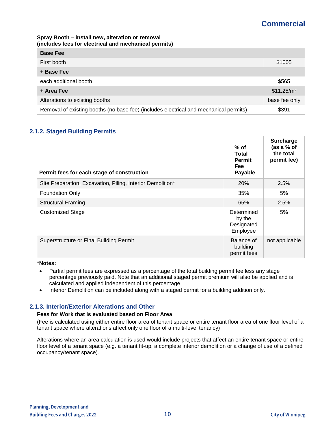#### **Spray Booth – install new, alteration or removal (includes fees for electrical and mechanical permits)**

| <b>Base Fee</b>                                                                       |                        |
|---------------------------------------------------------------------------------------|------------------------|
| First booth                                                                           | \$1005                 |
| + Base Fee                                                                            |                        |
| each additional booth                                                                 | \$565                  |
| + Area Fee                                                                            | \$11.25/m <sup>2</sup> |
| Alterations to existing booths                                                        | base fee only          |
| Removal of existing booths (no base fee) (includes electrical and mechanical permits) | \$391                  |

## <span id="page-9-0"></span>**2.1.2. Staged Building Permits**

| Permit fees for each stage of construction                 | % of<br><b>Total</b><br><b>Permit</b><br><b>Fee</b><br>Payable | Surcharge<br>(as a % of<br>the total<br>permit fee) |
|------------------------------------------------------------|----------------------------------------------------------------|-----------------------------------------------------|
| Site Preparation, Excavation, Piling, Interior Demolition* | 20%                                                            | 2.5%                                                |
| <b>Foundation Only</b>                                     | 35%                                                            | 5%                                                  |
| <b>Structural Framing</b>                                  | 65%                                                            | 2.5%                                                |
| <b>Customized Stage</b>                                    | Determined<br>by the<br>Designated<br>Employee                 | 5%                                                  |
| Superstructure or Final Building Permit                    | Balance of<br>building<br>permit fees                          | not applicable                                      |

#### **\*Notes:**

- Partial permit fees are expressed as a percentage of the total building permit fee less any stage percentage previously paid. Note that an additional staged permit premium will also be applied and is calculated and applied independent of this percentage.
- Interior Demolition can be included along with a staged permit for a building addition only.

### <span id="page-9-1"></span>**2.1.3. Interior/Exterior Alterations and Other**

#### **Fees for Work that is evaluated based on Floor Area**

(Fee is calculated using either entire floor area of tenant space or entire tenant floor area of one floor level of a tenant space where alterations affect only one floor of a multi-level tenancy)

Alterations where an area calculation is used would include projects that affect an entire tenant space or entire floor level of a tenant space (e.g. a tenant fit-up, a complete interior demolition or a change of use of a defined occupancy/tenant space).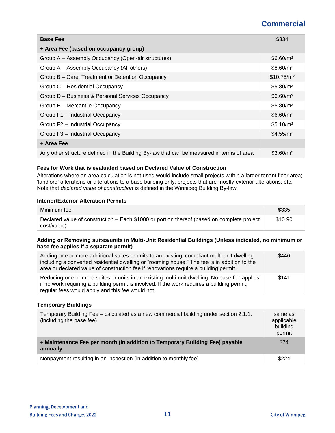| <b>Base Fee</b>                                                                          | \$334                  |
|------------------------------------------------------------------------------------------|------------------------|
| + Area Fee (based on occupancy group)                                                    |                        |
| Group A – Assembly Occupancy (Open-air structures)                                       | \$6.60/m <sup>2</sup>  |
| Group A - Assembly Occupancy (All others)                                                | \$8.60/m <sup>2</sup>  |
| Group B – Care, Treatment or Detention Occupancy                                         | \$10.75/m <sup>2</sup> |
| Group C - Residential Occupancy                                                          | \$5.80/m <sup>2</sup>  |
| Group D - Business & Personal Services Occupancy                                         | \$6.60/m <sup>2</sup>  |
| Group E - Mercantile Occupancy                                                           | \$5.80/m <sup>2</sup>  |
| Group F1 - Industrial Occupancy                                                          | \$6.60/m <sup>2</sup>  |
| Group F2 - Industrial Occupancy                                                          | \$5.10/m <sup>2</sup>  |
| Group F3 - Industrial Occupancy                                                          | \$4.55/m <sup>2</sup>  |
| + Area Fee                                                                               |                        |
| Any other structure defined in the Building By-law that can be measured in terms of area | \$3.60/m <sup>2</sup>  |

#### **Fees for Work that is evaluated based on Declared Value of Construction**

Alterations where an area calculation is not used would include small projects within a larger tenant floor area; 'landlord' alterations or alterations to a base building only; projects that are mostly exterior alterations, etc. Note that *declared value of construction* is defined in the Winnipeg Building By-law.

#### **Interior/Exterior Alteration Permits**

| Minimum fee:                                                                                              | \$335   |
|-----------------------------------------------------------------------------------------------------------|---------|
| Declared value of construction – Each \$1000 or portion thereof (based on complete project<br>cost/value) | \$10.90 |

#### **Adding or Removing suites/units in Multi-Unit Residential Buildings (Unless indicated, no minimum or base fee applies if a separate permit)**

| Adding one or more additional suites or units to an existing, compliant multi-unit dwelling<br>including a converted residential dwelling or "rooming house." The fee is in addition to the<br>area or declared value of construction fee if renovations require a building permit. | \$446 |
|-------------------------------------------------------------------------------------------------------------------------------------------------------------------------------------------------------------------------------------------------------------------------------------|-------|
| Reducing one or more suites or units in an existing multi-unit dwelling. No base fee applies<br>if no work requiring a building permit is involved. If the work requires a building permit,<br>regular fees would apply and this fee would not.                                     | \$141 |

#### **Temporary Buildings**

| Temporary Building Fee – calculated as a new commercial building under section 2.1.1.<br>(including the base fee) | same as<br>applicable<br>building<br>permit |
|-------------------------------------------------------------------------------------------------------------------|---------------------------------------------|
| + Maintenance Fee per month (in addition to Temporary Building Fee) payable<br>annually                           | \$74                                        |
| Nonpayment resulting in an inspection (in addition to monthly fee)                                                | \$224                                       |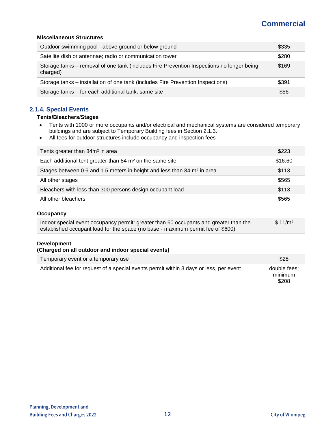#### **Miscellaneous Structures**

| Outdoor swimming pool - above ground or below ground                                                  | \$335 |
|-------------------------------------------------------------------------------------------------------|-------|
| Satellite dish or antennae; radio or communication tower                                              | \$280 |
| Storage tanks – removal of one tank (includes Fire Prevention Inspections no longer being<br>charged) | \$169 |
| Storage tanks – installation of one tank (includes Fire Prevention Inspections)                       | \$391 |
| Storage tanks – for each additional tank, same site                                                   | \$56  |

## <span id="page-11-0"></span>**2.1.4. Special Events**

#### **Tents/Bleachers/Stages**

- Tents with 1000 or more occupants and/or electrical and mechanical systems are considered temporary buildings and are subject to Temporary Building fees in Section 2.1.3.
- All fees for outdoor structures include occupancy and inspection fees

| Tents greater than 84m <sup>2</sup> in area                                         | \$223   |
|-------------------------------------------------------------------------------------|---------|
| Each additional tent greater than 84 m <sup>2</sup> on the same site                | \$16.60 |
| Stages between 0.6 and 1.5 meters in height and less than 84 m <sup>2</sup> in area | \$113   |
| All other stages                                                                    | \$565   |
| Bleachers with less than 300 persons design occupant load                           | \$113   |
| All other bleachers                                                                 | \$565   |

#### **Occupancy**

| Indoor special event occupancy permit: greater than 60 occupants and greater than the | \$.11/m <sup>2</sup> |
|---------------------------------------------------------------------------------------|----------------------|
| established occupant load for the space (no base - maximum permit fee of \$600)       |                      |

#### **Development**

#### **(Charged on all outdoor and indoor special events)**

| Temporary event or a temporary use                                                     | \$28                             |
|----------------------------------------------------------------------------------------|----------------------------------|
| Additional fee for request of a special events permit within 3 days or less, per event | double fees;<br>minimum<br>\$208 |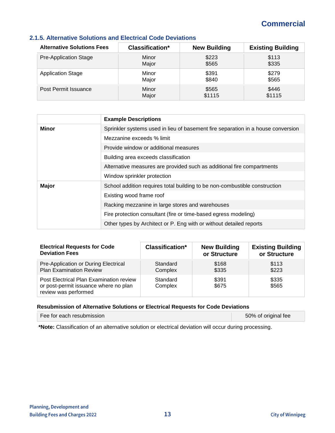| <b>Alternative Solutions Fees</b> | <b>Classification*</b> | <b>New Building</b> | <b>Existing Building</b> |
|-----------------------------------|------------------------|---------------------|--------------------------|
| <b>Pre-Application Stage</b>      | Minor                  | \$223               | \$113                    |
|                                   | Major                  | \$565               | \$335                    |
| <b>Application Stage</b>          | Minor                  | \$391               | \$279                    |
|                                   | Major                  | \$840               | \$565                    |
| Post Permit Issuance              | Minor                  | \$565               | \$446                    |
|                                   | Major                  | \$1115              | \$1115                   |

## <span id="page-12-0"></span>**2.1.5. Alternative Solutions and Electrical Code Deviations**

|              | <b>Example Descriptions</b>                                                      |
|--------------|----------------------------------------------------------------------------------|
| Minor        | Sprinkler systems used in lieu of basement fire separation in a house conversion |
|              | Mezzanine exceeds % limit                                                        |
|              | Provide window or additional measures                                            |
|              | Building area exceeds classification                                             |
|              | Alternative measures are provided such as additional fire compartments           |
|              | Window sprinkler protection                                                      |
| <b>Major</b> | School addition requires total building to be non-combustible construction       |
|              | Existing wood frame roof                                                         |
|              | Racking mezzanine in large stores and warehouses                                 |
|              | Fire protection consultant (fire or time-based egress modeling)                  |
|              | Other types by Architect or P. Eng with or without detailed reports              |

| <b>Electrical Requests for Code</b>                                                                      | <b>Classification*</b> | <b>New Building</b> | <b>Existing Building</b> |
|----------------------------------------------------------------------------------------------------------|------------------------|---------------------|--------------------------|
| <b>Deviation Fees</b>                                                                                    |                        | or Structure        | or Structure             |
| Pre-Application or During Electrical                                                                     | Standard               | \$168               | \$113                    |
| <b>Plan Examination Review</b>                                                                           | Complex                | \$335               | \$223                    |
| Post Electrical Plan Examination review<br>or post-permit issuance where no plan<br>review was performed | Standard<br>Complex    | \$391<br>\$675      | \$335<br>\$565           |

#### **Resubmission of Alternative Solutions or Electrical Requests for Code Deviations**

| Fee for each resubmission | 50% of original fee |
|---------------------------|---------------------|
|                           |                     |

**\*Note:** Classification of an alternative solution or electrical deviation will occur during processing.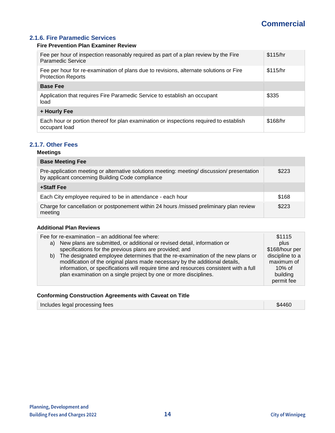## <span id="page-13-0"></span>**2.1.6. Fire Paramedic Services**

#### **Fire Prevention Plan Examiner Review**

| Fee per hour of inspection reasonably required as part of a plan review by the Fire<br>Paramedic Service            | \$115/hr |
|---------------------------------------------------------------------------------------------------------------------|----------|
| Fee per hour for re-examination of plans due to revisions, alternate solutions or Fire<br><b>Protection Reports</b> | \$115/hr |
| <b>Base Fee</b>                                                                                                     |          |
| Application that requires Fire Paramedic Service to establish an occupant<br>load                                   | \$335    |
| + Hourly Fee                                                                                                        |          |
| Each hour or portion thereof for plan examination or inspections required to establish<br>occupant load             | \$168/hr |

### <span id="page-13-1"></span>**2.1.7. Other Fees**

## **Meetings**

| <b>Base Meeting Fee</b>                                                                                                                       |       |
|-----------------------------------------------------------------------------------------------------------------------------------------------|-------|
| Pre-application meeting or alternative solutions meeting: meeting/discussion/presentation<br>by applicant concerning Building Code compliance | \$223 |
| +Staff Fee                                                                                                                                    |       |
| Each City employee required to be in attendance - each hour                                                                                   | \$168 |
| Charge for cancellation or postponement within 24 hours /missed preliminary plan review<br>meeting                                            | \$223 |

#### **Additional Plan Reviews**

| Fee for re-examination - an additional fee where:<br>a) New plans are submitted, or additional or revised detail, information or<br>specifications for the previous plans are provided; and<br>b) The designated employee determines that the re-examination of the new plans or<br>modification of the original plans made necessary by the additional details,<br>information, or specifications will require time and resources consistent with a full<br>plan examination on a single project by one or more disciplines. | \$1115<br>plus<br>\$168/hour per<br>discipline to a<br>maximum of<br>$10\%$ of<br>building<br>permit fee |
|-------------------------------------------------------------------------------------------------------------------------------------------------------------------------------------------------------------------------------------------------------------------------------------------------------------------------------------------------------------------------------------------------------------------------------------------------------------------------------------------------------------------------------|----------------------------------------------------------------------------------------------------------|
|                                                                                                                                                                                                                                                                                                                                                                                                                                                                                                                               |                                                                                                          |

## **Conforming Construction Agreements with Caveat on Title**

| Includes legal processing fees | \$4460 |
|--------------------------------|--------|
|                                |        |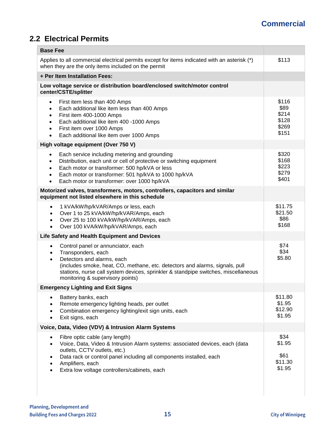# <span id="page-14-0"></span>**2.2 Electrical Permits**

| <b>Base Fee</b>                                                                                                                                                                                                                                                                                                                                            |                                                   |
|------------------------------------------------------------------------------------------------------------------------------------------------------------------------------------------------------------------------------------------------------------------------------------------------------------------------------------------------------------|---------------------------------------------------|
| Applies to all commercial electrical permits except for items indicated with an asterisk (*)<br>when they are the only items included on the permit                                                                                                                                                                                                        | \$113                                             |
| + Per Item Installation Fees:                                                                                                                                                                                                                                                                                                                              |                                                   |
| Low voltage service or distribution board/enclosed switch/motor control<br>center/CSTE/splitter                                                                                                                                                                                                                                                            |                                                   |
| First item less than 400 Amps<br>$\bullet$<br>Each additional like item less than 400 Amps<br>$\bullet$<br>First item 400-1000 Amps<br>$\bullet$<br>Each additional like item 400 -1000 Amps<br>$\bullet$<br>First item over 1000 Amps<br>$\bullet$<br>Each additional like item over 1000 Amps<br>$\bullet$                                               | \$116<br>\$89<br>\$214<br>\$128<br>\$269<br>\$151 |
| High voltage equipment (Over 750 V)                                                                                                                                                                                                                                                                                                                        |                                                   |
| Each service including metering and grounding<br>$\bullet$<br>Distribution, each unit or cell of protective or switching equipment<br>$\bullet$<br>Each motor or transformer: 500 hp/kVA or less<br>$\bullet$<br>Each motor or transformer: 501 hp/kVA to 1000 hp/kVA<br>$\bullet$<br>Each motor or transformer: over 1000 hp/kVA<br>$\bullet$             | \$320<br>\$168<br>\$223<br>\$279<br>\$401         |
| Motorized valves, transformers, motors, controllers, capacitors and similar<br>equipment not listed elsewhere in this schedule                                                                                                                                                                                                                             |                                                   |
| 1 kVA/kW/hp/kVAR/Amps or less, each<br>$\bullet$<br>Over 1 to 25 kVA/kW/hp/kVAR/Amps, each<br>$\bullet$<br>Over 25 to 100 kVA/kW/hp/kVAR/Amps, each<br>$\bullet$<br>Over 100 kVA/kW/hp/kVAR/Amps, each<br>$\bullet$                                                                                                                                        | \$11.75<br>\$21.50<br>\$86<br>\$168               |
| Life Safety and Health Equipment and Devices                                                                                                                                                                                                                                                                                                               |                                                   |
| Control panel or annunciator, each<br>$\bullet$<br>Transponders, each<br>$\bullet$<br>Detectors and alarms, each<br>$\bullet$<br>(includes smoke, heat, CO, methane, etc. detectors and alarms, signals, pull<br>stations, nurse call system devices, sprinkler & standpipe switches, miscellaneous<br>monitoring & supervisory points)                    | \$74<br>\$34<br>\$5.80                            |
| <b>Emergency Lighting and Exit Signs</b>                                                                                                                                                                                                                                                                                                                   |                                                   |
| Battery banks, each<br>$\bullet$<br>Remote emergency lighting heads, per outlet<br>Combination emergency lighting/exit sign units, each<br>Exit signs, each<br>$\bullet$                                                                                                                                                                                   | \$11.80<br>\$1.95<br>\$12.90<br>\$1.95            |
| Voice, Data, Video (VDV) & Intrusion Alarm Systems                                                                                                                                                                                                                                                                                                         |                                                   |
| Fibre optic cable (any length)<br>$\bullet$<br>Voice, Data, Video & Intrusion Alarm systems: associated devices, each (data<br>$\bullet$<br>outlets, CCTV outlets, etc.)<br>Data rack or control panel including all components installed, each<br>$\bullet$<br>Amplifiers, each<br>$\bullet$<br>Extra low voltage controllers/cabinets, each<br>$\bullet$ | \$34<br>\$1.95<br>\$61<br>\$11.30<br>\$1.95       |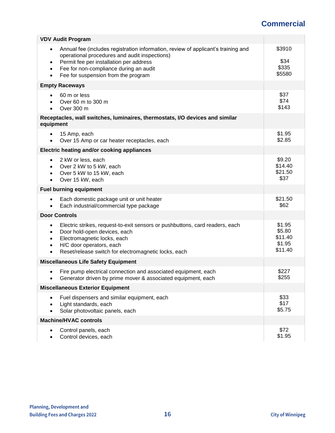| <b>VDV Audit Program</b>                                                                                                                                                                                                                                                                   |                                                  |
|--------------------------------------------------------------------------------------------------------------------------------------------------------------------------------------------------------------------------------------------------------------------------------------------|--------------------------------------------------|
| Annual fee (includes registration information, review of applicant's training and<br>٠<br>operational procedures and audit inspections)<br>Permit fee per installation per address<br>٠<br>Fee for non-compliance during an audit<br>٠<br>Fee for suspension from the program<br>$\bullet$ | \$3910<br>\$34<br>\$335<br>\$5580                |
| <b>Empty Raceways</b>                                                                                                                                                                                                                                                                      |                                                  |
| 60 m or less<br>Over 60 m to 300 m<br>Over 300 m                                                                                                                                                                                                                                           | \$37<br>\$74<br>\$143                            |
| Receptacles, wall switches, luminaires, thermostats, I/O devices and similar<br>equipment                                                                                                                                                                                                  |                                                  |
| 15 Amp, each<br>Over 15 Amp or car heater receptacles, each                                                                                                                                                                                                                                | \$1.95<br>\$2.85                                 |
| Electric heating and/or cooking appliances                                                                                                                                                                                                                                                 |                                                  |
| 2 kW or less, each<br>$\bullet$<br>Over 2 kW to 5 kW, each<br>$\bullet$<br>Over 5 kW to 15 kW, each<br>$\bullet$<br>Over 15 kW, each<br>$\bullet$                                                                                                                                          | \$9.20<br>\$14.40<br>\$21.50<br>\$37             |
| <b>Fuel burning equipment</b>                                                                                                                                                                                                                                                              |                                                  |
| Each domestic package unit or unit heater<br>٠<br>Each industrial/commercial type package                                                                                                                                                                                                  | \$21.50<br>\$62                                  |
| <b>Door Controls</b>                                                                                                                                                                                                                                                                       |                                                  |
| Electric strikes, request-to-exit sensors or pushbuttons, card readers, each<br>$\bullet$<br>Door hold-open devices, each<br>٠<br>Electromagnetic locks, each<br>٠<br>H/C door operators, each<br>$\bullet$<br>Reset/release switch for electromagnetic locks, each<br>٠                   | \$1.95<br>\$5.80<br>\$11.40<br>\$1.95<br>\$11.40 |
| <b>Miscellaneous Life Safety Equipment</b>                                                                                                                                                                                                                                                 |                                                  |
| Fire pump electrical connection and associated equipment, each<br>Generator driven by prime mover & associated equipment, each<br>$\bullet$                                                                                                                                                | \$227<br>\$255                                   |
| <b>Miscellaneous Exterior Equipment</b>                                                                                                                                                                                                                                                    |                                                  |
| Fuel dispensers and similar equipment, each<br>$\bullet$<br>Light standards, each<br>Solar photovoltaic panels, each                                                                                                                                                                       | \$33<br>\$17<br>\$5.75                           |
| <b>Machine/HVAC controls</b>                                                                                                                                                                                                                                                               |                                                  |
| Control panels, each<br>Control devices, each                                                                                                                                                                                                                                              | \$72<br>\$1.95                                   |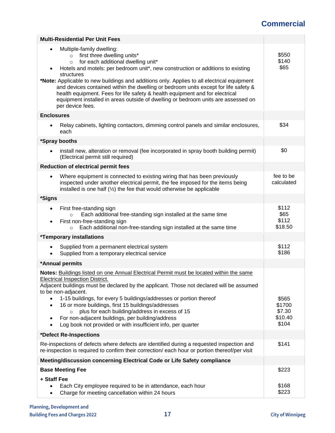| <b>Multi-Residential Per Unit Fees</b>                                                                                                                                                                                                                                                                                                                                                                                                                                                                                                                                                                           |                                               |
|------------------------------------------------------------------------------------------------------------------------------------------------------------------------------------------------------------------------------------------------------------------------------------------------------------------------------------------------------------------------------------------------------------------------------------------------------------------------------------------------------------------------------------------------------------------------------------------------------------------|-----------------------------------------------|
| Multiple-family dwelling:<br>$\bullet$<br>first three dwelling units*<br>$\circ$<br>for each additional dwelling unit*<br>$\circ$<br>Hotels and motels: per bedroom unit*, new construction or additions to existing<br>structures<br>*Note: Applicable to new buildings and additions only. Applies to all electrical equipment<br>and devices contained within the dwelling or bedroom units except for life safety &<br>health equipment. Fees for life safety & health equipment and for electrical<br>equipment installed in areas outside of dwelling or bedroom units are assessed on<br>per device fees. | \$550<br>\$140<br>\$65                        |
| <b>Enclosures</b>                                                                                                                                                                                                                                                                                                                                                                                                                                                                                                                                                                                                |                                               |
| Relay cabinets, lighting contactors, dimming control panels and similar enclosures,<br>$\bullet$<br>each                                                                                                                                                                                                                                                                                                                                                                                                                                                                                                         | \$34                                          |
| *Spray booths                                                                                                                                                                                                                                                                                                                                                                                                                                                                                                                                                                                                    |                                               |
| install new, alteration or removal (fee incorporated in spray booth building permit)<br>$\bullet$<br>(Electrical permit still required)                                                                                                                                                                                                                                                                                                                                                                                                                                                                          | \$0                                           |
| <b>Reduction of electrical permit fees</b>                                                                                                                                                                                                                                                                                                                                                                                                                                                                                                                                                                       |                                               |
| Where equipment is connected to existing wiring that has been previously<br>inspected under another electrical permit, the fee imposed for the items being<br>installed is one half $(\frac{1}{2})$ the fee that would otherwise be applicable                                                                                                                                                                                                                                                                                                                                                                   | fee to be<br>calculated                       |
| *Signs                                                                                                                                                                                                                                                                                                                                                                                                                                                                                                                                                                                                           |                                               |
| First free-standing sign<br>$\bullet$<br>Each additional free-standing sign installed at the same time<br>$\circ$<br>First non-free-standing sign<br>$\bullet$<br>Each additional non-free-standing sign installed at the same time<br>$\circ$                                                                                                                                                                                                                                                                                                                                                                   | \$112<br>\$65<br>\$112<br>\$18.50             |
| <i>*Temporary installations</i>                                                                                                                                                                                                                                                                                                                                                                                                                                                                                                                                                                                  |                                               |
| Supplied from a permanent electrical system<br>$\bullet$<br>Supplied from a temporary electrical service<br>$\bullet$                                                                                                                                                                                                                                                                                                                                                                                                                                                                                            | \$112<br>\$186                                |
| *Annual permits                                                                                                                                                                                                                                                                                                                                                                                                                                                                                                                                                                                                  |                                               |
| Notes: Buildings listed on one Annual Electrical Permit must be located within the same<br><b>Electrical Inspection District.</b><br>Adjacent buildings must be declared by the applicant. Those not declared will be assumed<br>to be non-adjacent.<br>1-15 buildings, for every 5 buildings/addresses or portion thereof<br>$\bullet$<br>16 or more buildings, first 15 buildings/addresses<br>$\bullet$<br>plus for each building/address in excess of 15<br>For non-adjacent buildings, per building/address<br>٠<br>Log book not provided or with insufficient info, per quarter                            | \$565<br>\$1700<br>\$7.30<br>\$10.40<br>\$104 |
| *Defect Re-Inspections                                                                                                                                                                                                                                                                                                                                                                                                                                                                                                                                                                                           |                                               |
| Re-inspections of defects where defects are identified during a requested inspection and<br>re-inspection is required to confirm their correction/each hour or portion thereof/per visit                                                                                                                                                                                                                                                                                                                                                                                                                         | \$141                                         |
| Meeting/discussion concerning Electrical Code or Life Safety compliance                                                                                                                                                                                                                                                                                                                                                                                                                                                                                                                                          |                                               |
| <b>Base Meeting Fee</b>                                                                                                                                                                                                                                                                                                                                                                                                                                                                                                                                                                                          | \$223                                         |
| + Staff Fee<br>Each City employee required to be in attendance, each hour<br>Charge for meeting cancellation within 24 hours<br>٠                                                                                                                                                                                                                                                                                                                                                                                                                                                                                | \$168<br>\$223                                |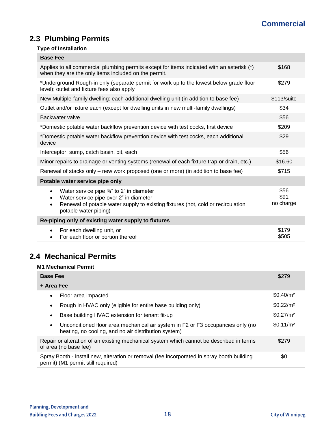# <span id="page-17-0"></span>**2.3 Plumbing Permits**

## **Type of Installation**

| <b>Base Fee</b>                                                                                                                                                                                                               |                           |
|-------------------------------------------------------------------------------------------------------------------------------------------------------------------------------------------------------------------------------|---------------------------|
| Applies to all commercial plumbing permits except for items indicated with an asterisk (*)<br>when they are the only items included on the permit.                                                                            | \$168                     |
| *Underground Rough-in only (separate permit for work up to the lowest below grade floor<br>level); outlet and fixture fees also apply                                                                                         | \$279                     |
| New Multiple-family dwelling: each additional dwelling unit (in addition to base fee)                                                                                                                                         | \$113/suite               |
| Outlet and/or fixture each (except for dwelling units in new multi-family dwellings)                                                                                                                                          | \$34                      |
| Backwater valve                                                                                                                                                                                                               | \$56                      |
| *Domestic potable water backflow prevention device with test cocks, first device                                                                                                                                              | \$209                     |
| *Domestic potable water backflow prevention device with test cocks, each additional<br>device                                                                                                                                 | \$29                      |
| Interceptor, sump, catch basin, pit, each                                                                                                                                                                                     | \$56                      |
| Minor repairs to drainage or venting systems (renewal of each fixture trap or drain, etc.)                                                                                                                                    | \$16.60                   |
| Renewal of stacks only – new work proposed (one or more) (in addition to base fee)                                                                                                                                            | \$715                     |
| Potable water service pipe only                                                                                                                                                                                               |                           |
| Water service pipe $\frac{3}{4}$ " to 2" in diameter<br>$\bullet$<br>Water service pipe over 2" in diameter<br>Renewal of potable water supply to existing fixtures (hot, cold or recirculation<br>٠<br>potable water piping) | \$56<br>\$91<br>no charge |
| Re-piping only of existing water supply to fixtures                                                                                                                                                                           |                           |
| For each dwelling unit, or<br>For each floor or portion thereof<br>٠                                                                                                                                                          | \$179<br>\$505            |

## <span id="page-17-1"></span>**2.4 Mechanical Permits**

## **M1 Mechanical Permit**

| <b>Base Fee</b>                                                                                                                                      | \$279                 |
|------------------------------------------------------------------------------------------------------------------------------------------------------|-----------------------|
| + Area Fee                                                                                                                                           |                       |
| Floor area impacted                                                                                                                                  | \$0.40/m <sup>2</sup> |
| Rough in HVAC only (eligible for entire base building only)<br>٠                                                                                     | \$0.22/m <sup>2</sup> |
| Base building HVAC extension for tenant fit-up<br>٠                                                                                                  | \$0.27/m <sup>2</sup> |
| Unconditioned floor area mechanical air system in F2 or F3 occupancies only (no<br>$\bullet$<br>heating, no cooling, and no air distribution system) | \$0.11/m <sup>2</sup> |
| Repair or alteration of an existing mechanical system which cannot be described in terms<br>of area (no base fee)                                    | \$279                 |
| Spray Booth - install new, alteration or removal (fee incorporated in spray booth building<br>permit) (M1 permit still required)                     | \$0                   |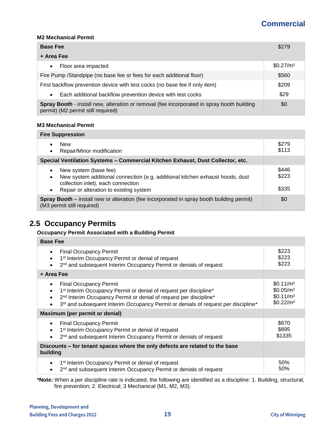#### **M2 Mechanical Permit**

| <b>Base Fee</b>                                                                                                                         | \$279                 |
|-----------------------------------------------------------------------------------------------------------------------------------------|-----------------------|
| + Area Fee                                                                                                                              |                       |
| Floor area impacted<br>$\bullet$                                                                                                        | \$0.27/m <sup>2</sup> |
| Fire Pump / Standpipe (no base fee or fees for each additional floor)                                                                   | \$560                 |
| First backflow prevention device with test cocks (no base fee if only item)                                                             | \$209                 |
| Each additional backflow prevention device with test cocks<br>$\bullet$                                                                 | \$29                  |
| <b>Spray Booth</b> - install new, alteration or removal (fee incorporated in spray booth building<br>permit) (M2 permit still required) | \$0                   |

#### **M3 Mechanical Permit**

| <b>Fire Suppression</b>                                                                                                                                                                                                        |                         |
|--------------------------------------------------------------------------------------------------------------------------------------------------------------------------------------------------------------------------------|-------------------------|
| <b>New</b><br>$\bullet$<br>Repair/Minor modification<br>$\bullet$                                                                                                                                                              | \$279<br>\$113          |
| Special Ventilation Systems - Commercial Kitchen Exhaust, Dust Collector, etc.                                                                                                                                                 |                         |
| New system (base fee)<br>$\bullet$<br>New system additional connection (e.g. additional kitchen exhaust hoods, dust<br>$\bullet$<br>collection inlet), each connection<br>Repair or alteration to existing system<br>$\bullet$ | \$446<br>\$223<br>\$335 |
| Spray Booth - install new or alteration (fee incorporated in spray booth building permit)<br>(M3 permit still required)                                                                                                        | \$0                     |

## <span id="page-18-0"></span>**2.5 Occupancy Permits**

## **Occupancy Permit Associated with a Building Permit**

| <b>Base Fee</b>                                                                                                                                                                                                                                                                                                |                                                                                                  |
|----------------------------------------------------------------------------------------------------------------------------------------------------------------------------------------------------------------------------------------------------------------------------------------------------------------|--------------------------------------------------------------------------------------------------|
| <b>Final Occupancy Permit</b><br>$\bullet$<br>1 <sup>st</sup> Interim Occupancy Permit or denial of request<br>2 <sup>nd</sup> and subsequent Interim Occupancy Permit or denials of request                                                                                                                   | \$223<br>\$223<br>\$223                                                                          |
| + Area Fee                                                                                                                                                                                                                                                                                                     |                                                                                                  |
| <b>Final Occupancy Permit</b><br>$\bullet$<br>1 <sup>st</sup> Interim Occupancy Permit or denial of request per discipline*<br>$\bullet$<br>2 <sup>nd</sup> Interim Occupancy Permit or denial of request per discipline*<br>3rd and subsequent Interim Occupancy Permit or denials of request per discipline* | \$0.11/m <sup>2</sup><br>\$0.05/m <sup>2</sup><br>\$0.11/m <sup>2</sup><br>\$0.22/m <sup>2</sup> |
| Maximum (per permit or denial)                                                                                                                                                                                                                                                                                 |                                                                                                  |
| <b>Final Occupancy Permit</b><br>$\bullet$<br>1 <sup>st</sup> Interim Occupancy Permit or denial of request<br>2 <sup>nd</sup> and subsequent Interim Occupancy Permit or denials of request                                                                                                                   | \$670<br>\$895<br>\$1335                                                                         |
| Discounts - for tenant spaces where the only defects are related to the base<br>building                                                                                                                                                                                                                       |                                                                                                  |
| 1 <sup>st</sup> Interim Occupancy Permit or denial of request<br>$\bullet$<br>2 <sup>nd</sup> and subsequent Interim Occupancy Permit or denials of request                                                                                                                                                    | 50%<br>50%                                                                                       |

**\*Note:** When a per discipline rate is indicated, the following are identified as a discipline: 1. Building, structural, fire prevention; 2. Electrical; 3 Mechanical (M1, M2, M3).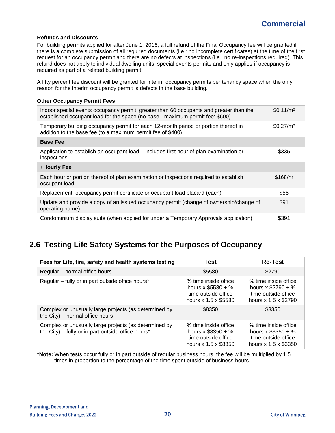#### **Refunds and Discounts**

For building permits applied for after June 1, 2016, a full refund of the Final Occupancy fee will be granted if there is a complete submission of all required documents (i.e.: no incomplete certificates) at the time of the first request for an occupancy permit and there are no defects at inspections (i.e.: no re-inspections required). This refund does not apply to individual dwelling units, special events permits and only applies if occupancy is required as part of a related building permit.

A fifty percent fee discount will be granted for interim occupancy permits per tenancy space when the only reason for the interim occupancy permit is defects in the base building.

#### **Other Occupancy Permit Fees**

| Indoor special events occupancy permit: greater than 60 occupants and greater than the<br>established occupant load for the space (no base - maximum permit fee: \$600) | \$0.11/m <sup>2</sup> |
|-------------------------------------------------------------------------------------------------------------------------------------------------------------------------|-----------------------|
| Temporary building occupancy permit for each 12-month period or portion thereof in<br>addition to the base fee (to a maximum permit fee of \$400)                       | \$0.27/m <sup>2</sup> |
| <b>Base Fee</b>                                                                                                                                                         |                       |
| Application to establish an occupant load – includes first hour of plan examination or<br>inspections                                                                   | \$335                 |
| +Hourly Fee                                                                                                                                                             |                       |
| Each hour or portion thereof of plan examination or inspections required to establish<br>occupant load                                                                  | \$168/hr              |
| Replacement: occupancy permit certificate or occupant load placard (each)                                                                                               | \$56                  |
| Update and provide a copy of an issued occupancy permit (change of ownership/change of<br>operating name)                                                               | \$91                  |
| Condominium display suite (when applied for under a Temporary Approvals application)                                                                                    | \$391                 |

# <span id="page-19-0"></span>**2.6 Testing Life Safety Systems for the Purposes of Occupancy**

| Fees for Life, fire, safety and health systems testing                                                      | Test                                                                                       | <b>Re-Test</b>                                                                             |
|-------------------------------------------------------------------------------------------------------------|--------------------------------------------------------------------------------------------|--------------------------------------------------------------------------------------------|
| Regular – normal office hours                                                                               | \$5580                                                                                     | \$2790                                                                                     |
| Regular - fully or in part outside office hours*                                                            | % time inside office<br>hours x $$5580 + %$<br>time outside office<br>hours x 1.5 x \$5580 | % time inside office<br>hours x $$2790 + %$<br>time outside office<br>hours x 1.5 x \$2790 |
| Complex or unusually large projects (as determined by<br>the City) – normal office hours                    | \$8350                                                                                     | \$3350                                                                                     |
| Complex or unusually large projects (as determined by<br>the City) – fully or in part outside office hours* | % time inside office<br>hours x $$8350 + %$<br>time outside office<br>hours x 1.5 x \$8350 | % time inside office<br>hours x $$3350 + %$<br>time outside office<br>hours x 1.5 x \$3350 |

**\*Note:** When tests occur fully or in part outside of regular business hours, the fee will be multiplied by 1.5 times in proportion to the percentage of the time spent outside of business hours.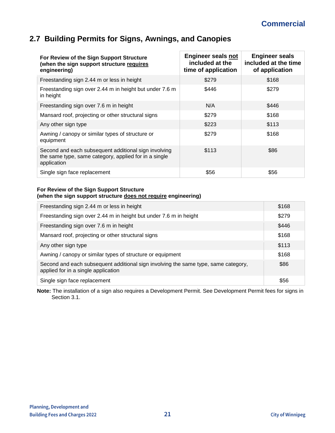# <span id="page-20-0"></span>**2.7 Building Permits for Signs, Awnings, and Canopies**

| For Review of the Sign Support Structure<br>(when the sign support structure requires<br>engineering)                        | <b>Engineer seals not</b><br>included at the<br>time of application | <b>Engineer seals</b><br>included at the time<br>of application |
|------------------------------------------------------------------------------------------------------------------------------|---------------------------------------------------------------------|-----------------------------------------------------------------|
| Freestanding sign 2.44 m or less in height                                                                                   | \$279                                                               | \$168                                                           |
| Freestanding sign over 2.44 m in height but under 7.6 m<br>in height                                                         | \$446                                                               | \$279                                                           |
| Freestanding sign over 7.6 m in height                                                                                       | N/A                                                                 | \$446                                                           |
| Mansard roof, projecting or other structural signs                                                                           | \$279                                                               | \$168                                                           |
| Any other sign type                                                                                                          | \$223                                                               | \$113                                                           |
| Awning / canopy or similar types of structure or<br>equipment                                                                | \$279                                                               | \$168                                                           |
| Second and each subsequent additional sign involving<br>the same type, same category, applied for in a single<br>application | \$113                                                               | \$86                                                            |
| Single sign face replacement                                                                                                 | \$56                                                                | \$56                                                            |

#### **For Review of the Sign Support Structure (when the sign support structure does not require engineering)**

| Freestanding sign 2.44 m or less in height                                                                                | \$168 |
|---------------------------------------------------------------------------------------------------------------------------|-------|
| Freestanding sign over 2.44 m in height but under 7.6 m in height                                                         | \$279 |
| Freestanding sign over 7.6 m in height                                                                                    | \$446 |
| Mansard roof, projecting or other structural signs                                                                        | \$168 |
| Any other sign type                                                                                                       | \$113 |
| Awning / canopy or similar types of structure or equipment                                                                | \$168 |
| Second and each subsequent additional sign involving the same type, same category,<br>applied for in a single application | \$86  |
| Single sign face replacement                                                                                              | \$56  |

**Note:** The installation of a sign also requires a Development Permit. See Development Permit fees for signs in Section 3.1.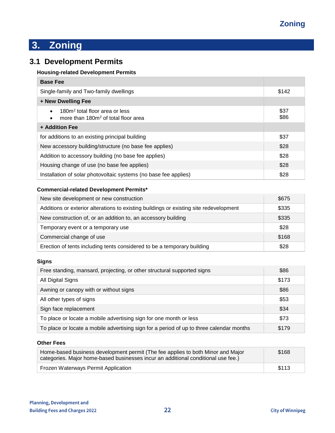# <span id="page-21-0"></span>**3. Zoning**

# <span id="page-21-1"></span>**3.1 Development Permits**

## **Housing-related Development Permits**

| <b>Base Fee</b>                                                                                                         |              |
|-------------------------------------------------------------------------------------------------------------------------|--------------|
| Single-family and Two-family dwellings                                                                                  | \$142        |
| + New Dwelling Fee                                                                                                      |              |
| 180m <sup>2</sup> total floor area or less<br>$\bullet$<br>more than 180m <sup>2</sup> of total floor area<br>$\bullet$ | \$37<br>\$86 |
| + Addition Fee                                                                                                          |              |
| for additions to an existing principal building                                                                         | \$37         |
| New accessory building/structure (no base fee applies)                                                                  | \$28         |
| Addition to accessory building (no base fee applies)                                                                    | \$28         |
| Housing change of use (no base fee applies)                                                                             | \$28         |
| Installation of solar photovoltaic systems (no base fee applies)                                                        | \$28         |

### **Commercial-related Development Permits\***

| New site development or new construction                                               | \$675 |
|----------------------------------------------------------------------------------------|-------|
| Additions or exterior alterations to existing buildings or existing site redevelopment | \$335 |
| New construction of, or an addition to, an accessory building                          | \$335 |
| Temporary event or a temporary use                                                     | \$28  |
| Commercial change of use                                                               | \$168 |
| Erection of tents including tents considered to be a temporary building                | \$28  |

#### **Signs**

| Free standing, mansard, projecting, or other structural supported signs                  | \$86  |
|------------------------------------------------------------------------------------------|-------|
| All Digital Signs                                                                        | \$173 |
| Awning or canopy with or without signs                                                   | \$86  |
| All other types of signs                                                                 | \$53  |
| Sign face replacement                                                                    | \$34  |
| To place or locate a mobile advertising sign for one month or less                       | \$73  |
| To place or locate a mobile advertising sign for a period of up to three calendar months | \$179 |

#### **Other Fees**

| Home-based business development permit (The fee applies to both Minor and Major<br>categories. Major home-based businesses incur an additional conditional use fee.) | \$168 |
|----------------------------------------------------------------------------------------------------------------------------------------------------------------------|-------|
| Frozen Waterways Permit Application                                                                                                                                  | \$113 |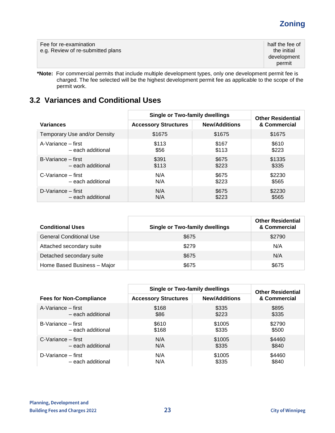# **Zoning**

| Fee for re-examination<br>e.g. Review of re-submitted plans | half the fee of<br>the initial<br>development<br>permit |
|-------------------------------------------------------------|---------------------------------------------------------|
|-------------------------------------------------------------|---------------------------------------------------------|

**\*Note:** For commercial permits that include multiple development types, only one development permit fee is charged. The fee selected will be the highest development permit fee as applicable to the scope of the permit work.

# <span id="page-22-0"></span>**3.2 Variances and Conditional Uses**

|                              | <b>Single or Two-family dwellings</b> |                      | <b>Other Residential</b> |  |
|------------------------------|---------------------------------------|----------------------|--------------------------|--|
| <b>Variances</b>             | <b>Accessory Structures</b>           | <b>New/Additions</b> | & Commercial             |  |
| Temporary Use and/or Density | \$1675                                | \$1675               | \$1675                   |  |
| A-Variance – first           | \$113                                 | \$167                | \$610                    |  |
| - each additional            | \$56                                  | \$113                | \$223                    |  |
| B-Variance – first           | \$391                                 | \$675                | \$1335                   |  |
| - each additional            | \$113                                 | \$223                | \$335                    |  |
| $C$ -Variance – first        | N/A                                   | \$675                | \$2230                   |  |
| - each additional            | N/A                                   | \$223                | \$565                    |  |
| D-Variance – first           | N/A                                   | \$675                | \$2230                   |  |
| - each additional            | N/A                                   | \$223                | \$565                    |  |

| <b>Conditional Uses</b>        | <b>Single or Two-family dwellings</b> | <b>Other Residential</b><br>& Commercial |
|--------------------------------|---------------------------------------|------------------------------------------|
| <b>General Conditional Use</b> | \$675                                 | \$2790                                   |
| Attached secondary suite       | \$279                                 | N/A                                      |
| Detached secondary suite       | \$675                                 | N/A                                      |
| Home Based Business - Major    | \$675                                 | \$675                                    |

|                                       | <b>Single or Two-family dwellings</b> |                      | <b>Other Residential</b> |  |
|---------------------------------------|---------------------------------------|----------------------|--------------------------|--|
| <b>Fees for Non-Compliance</b>        | <b>Accessory Structures</b>           | <b>New/Additions</b> | & Commercial             |  |
| A-Variance – first                    | \$168                                 | \$335                | \$895                    |  |
| – each additional                     | \$86                                  | \$223                | \$335                    |  |
| B-Variance – first                    | \$610                                 | \$1005               | \$2790                   |  |
| - each additional                     | \$168                                 | \$335                | \$500                    |  |
| $C-Variance - first$                  | N/A                                   | \$1005               | \$4460                   |  |
| - each additional                     | N/A                                   | \$335                | \$840                    |  |
| $D\text{-}\mathsf{V}$ ariance – first | N/A                                   | \$1005               | \$4460                   |  |
| - each additional                     | N/A                                   | \$335                | \$840                    |  |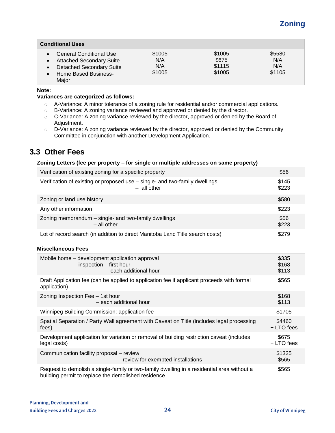# **Zoning**

| <b>Conditional Uses</b>                                                                                                                                                             |                                |                                     |                                |
|-------------------------------------------------------------------------------------------------------------------------------------------------------------------------------------|--------------------------------|-------------------------------------|--------------------------------|
| <b>General Conditional Use</b><br>$\bullet$<br><b>Attached Secondary Suite</b><br>$\bullet$<br><b>Detached Secondary Suite</b><br>$\bullet$<br><b>Home Based Business-</b><br>Major | \$1005<br>N/A<br>N/A<br>\$1005 | \$1005<br>\$675<br>\$1115<br>\$1005 | \$5580<br>N/A<br>N/A<br>\$1105 |

**Note:**

#### **Variances are categorized as follows:**

- o A-Variance: A minor tolerance of a zoning rule for residential and/or commercial applications.
- o B-Variance: A zoning variance reviewed and approved or denied by the director.
- o C-Variance: A zoning variance reviewed by the director, approved or denied by the Board of Adjustment.
- o D-Variance: A zoning variance reviewed by the director, approved or denied by the Community Committee in conjunction with another Development Application.

## <span id="page-23-0"></span>**3.3 Other Fees**

#### **Zoning Letters (fee per property – for single or multiple addresses on same property)**

| Verification of existing zoning for a specific property                                      | \$56           |
|----------------------------------------------------------------------------------------------|----------------|
| Verification of existing or proposed use - single- and two-family dwellings<br>$-$ all other | \$145<br>\$223 |
| Zoning or land use history                                                                   | \$580          |
| Any other information                                                                        | \$223          |
| Zoning memorandum - single- and two-family dwellings<br>$-$ all other                        | \$56<br>\$223  |
| Lot of record search (in addition to direct Manitoba Land Title search costs)                | \$279          |

#### **Miscellaneous Fees**

| Mobile home – development application approval                                                                                                    | \$335      |
|---------------------------------------------------------------------------------------------------------------------------------------------------|------------|
| $-$ inspection $-$ first hour                                                                                                                     | \$168      |
| - each additional hour                                                                                                                            | \$113      |
| Draft Application fee (can be applied to application fee if applicant proceeds with formal<br>application)                                        | \$565      |
| Zoning Inspection Fee - 1st hour                                                                                                                  | \$168      |
| - each additional hour                                                                                                                            | \$113      |
| Winnipeg Building Commission: application fee                                                                                                     | \$1705     |
| Spatial Separation / Party Wall agreement with Caveat on Title (includes legal processing                                                         | \$4460     |
| fees)                                                                                                                                             | + LTO fees |
| Development application for variation or removal of building restriction caveat (includes                                                         | \$675      |
| legal costs)                                                                                                                                      | + LTO fees |
| Communication facility proposal – review                                                                                                          | \$1325     |
| - review for exempted installations                                                                                                               | \$565      |
| Request to demolish a single-family or two-family dwelling in a residential area without a<br>building permit to replace the demolished residence | \$565      |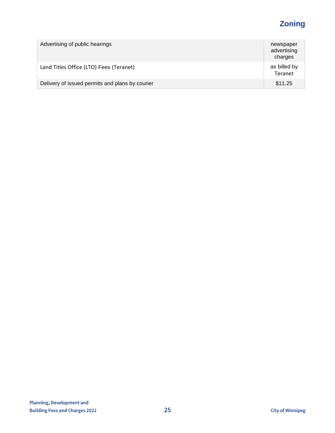# **Zoning**

| Advertising of public hearings                  | newspaper<br>advertising<br>charges |
|-------------------------------------------------|-------------------------------------|
| Land Titles Office (LTO) Fees (Teranet)         | as billed by<br>Teranet             |
| Delivery of issued permits and plans by courier | \$11.25                             |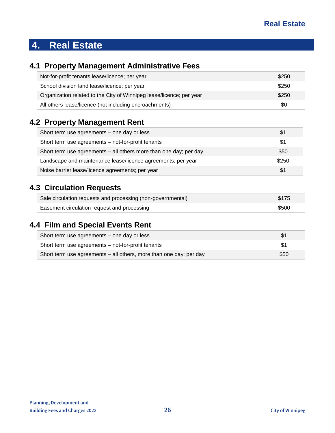# <span id="page-25-0"></span>**4. Real Estate**

# <span id="page-25-1"></span>**4.1 Property Management Administrative Fees**

| Not-for-profit tenants lease/licence; per year                       | \$250 |
|----------------------------------------------------------------------|-------|
| School division land lease/licence; per year                         | \$250 |
| Organization related to the City of Winnipeg lease/licence; per year | \$250 |
| All others lease/licence (not including encroachments)               | \$0   |

# <span id="page-25-2"></span>**4.2 Property Management Rent**

| Short term use agreements - one day or less                       | \$1   |
|-------------------------------------------------------------------|-------|
| Short term use agreements - not-for-profit tenants                | \$1   |
| Short term use agreements - all others more than one day; per day | \$50  |
| Landscape and maintenance lease/licence agreements; per year      | \$250 |
| Noise barrier lease/licence agreements; per year                  | \$1   |

# <span id="page-25-3"></span>**4.3 Circulation Requests**

| Sale circulation requests and processing (non-governmental) | \$175 |
|-------------------------------------------------------------|-------|
| Easement circulation request and processing                 | \$500 |

# <span id="page-25-4"></span>**4.4 Film and Special Events Rent**

| Short term use agreements – one day or less                        |      |
|--------------------------------------------------------------------|------|
| Short term use agreements – not-for-profit tenants                 |      |
| Short term use agreements – all others, more than one day; per day | \$50 |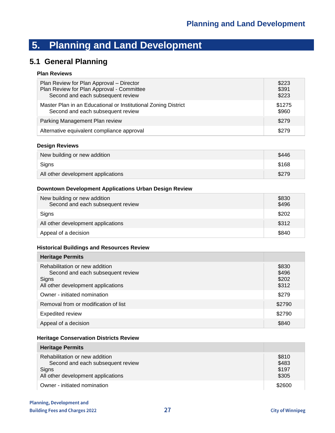## <span id="page-26-1"></span><span id="page-26-0"></span>**5.1 General Planning**

### **Plan Reviews**

| Plan Review for Plan Approval - Director                       | \$223  |
|----------------------------------------------------------------|--------|
| Plan Review for Plan Approval - Committee                      | \$391  |
| Second and each subsequent review                              | \$223  |
| Master Plan in an Educational or Institutional Zoning District | \$1275 |
| Second and each subsequent review                              | \$960  |
| Parking Management Plan review                                 | \$279  |
| Alternative equivalent compliance approval                     | \$279  |

#### **Design Reviews**

| New building or new addition       | \$446 |
|------------------------------------|-------|
| Signs                              | \$168 |
| All other development applications | \$279 |

#### **Downtown Development Applications Urban Design Review**

| New building or new addition<br>Second and each subsequent review | \$830<br>\$496 |
|-------------------------------------------------------------------|----------------|
| Signs                                                             | \$202          |
| All other development applications                                | \$312          |
| Appeal of a decision                                              | \$840          |

#### **Historical Buildings and Resources Review**

| <b>Heritage Permits</b>                                                                                            |                                  |
|--------------------------------------------------------------------------------------------------------------------|----------------------------------|
| Rehabilitation or new addition<br>Second and each subsequent review<br>Signs<br>All other development applications | \$830<br>\$496<br>\$202<br>\$312 |
| Owner - initiated nomination                                                                                       | \$279                            |
| Removal from or modification of list                                                                               | \$2790                           |
| <b>Expedited review</b>                                                                                            | \$2790                           |
| Appeal of a decision                                                                                               | \$840                            |

#### **Heritage Conservation Districts Review**

| <b>Heritage Permits</b>                                                                                            |                                  |
|--------------------------------------------------------------------------------------------------------------------|----------------------------------|
| Rehabilitation or new addition<br>Second and each subsequent review<br>Signs<br>All other development applications | \$810<br>\$483<br>\$197<br>\$305 |
| Owner - initiated nomination                                                                                       | \$2600                           |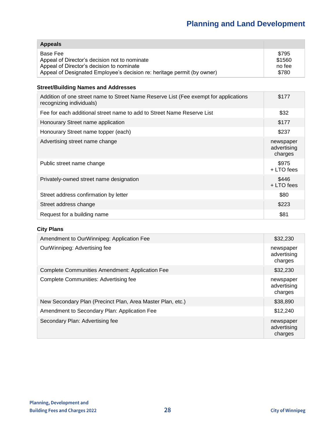| <b>Appeals</b>                                                          |        |
|-------------------------------------------------------------------------|--------|
| Base Fee                                                                | \$795  |
| Appeal of Director's decision not to nominate                           | \$1560 |
| Appeal of Director's decision to nominate                               | no fee |
| Appeal of Designated Employee's decision re: heritage permit (by owner) | \$780  |

#### **Street/Building Names and Addresses**

| Addition of one street name to Street Name Reserve List (Fee exempt for applications<br>recognizing individuals) | \$177                               |
|------------------------------------------------------------------------------------------------------------------|-------------------------------------|
| Fee for each additional street name to add to Street Name Reserve List                                           | \$32                                |
| Honourary Street name application                                                                                | \$177                               |
| Honourary Street name topper (each)                                                                              | \$237                               |
| Advertising street name change                                                                                   | newspaper<br>advertising<br>charges |
| Public street name change                                                                                        | \$975<br>+ LTO fees                 |
| Privately-owned street name designation                                                                          | \$446<br>+ LTO fees                 |
| Street address confirmation by letter                                                                            | \$80                                |
| Street address change                                                                                            | \$223                               |
| Request for a building name                                                                                      | \$81                                |

## **City Plans**

| Amendment to OurWinnipeg: Application Fee                  | \$32,230                            |
|------------------------------------------------------------|-------------------------------------|
| OurWinnipeg: Advertising fee                               | newspaper<br>advertising<br>charges |
| Complete Communities Amendment: Application Fee            | \$32,230                            |
| Complete Communities: Advertising fee                      | newspaper<br>advertising<br>charges |
| New Secondary Plan (Precinct Plan, Area Master Plan, etc.) | \$38,890                            |
| Amendment to Secondary Plan: Application Fee               | \$12,240                            |
| Secondary Plan: Advertising fee                            | newspaper<br>advertising<br>charges |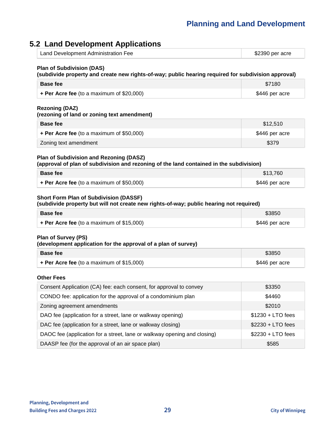# <span id="page-28-0"></span>**5.2 Land Development Applications**

| Land Development Administration Fee | \$2390 per acre |
|-------------------------------------|-----------------|
|-------------------------------------|-----------------|

#### **Plan of Subdivision (DAS)**

#### **(subdivide property and create new rights-of-way; public hearing required for subdivision approval)**

| <b>Base fee</b>                             | \$7180         |
|---------------------------------------------|----------------|
| + Per Acre fee (to a maximum of $$20,000$ ) | \$446 per acre |

#### **Rezoning (DAZ)**

#### **(rezoning of land or zoning text amendment)**

| <b>Base fee</b>                           | \$12,510       |
|-------------------------------------------|----------------|
| + Per Acre fee (to a maximum of \$50,000) | \$446 per acre |
| Zoning text amendment                     | \$379          |

## **Plan of Subdivision and Rezoning (DASZ)**

**(approval of plan of subdivision and rezoning of the land contained in the subdivision)**

| <b>Base fee</b>                             | \$13.760       |
|---------------------------------------------|----------------|
| + Per Acre fee (to a maximum of $$50,000$ ) | \$446 per acre |

#### **Short Form Plan of Subdivision (DASSF)**

**(subdivide property but will not create new rights-of-way; public hearing not required)**

| Base fee                                    | \$3850         |
|---------------------------------------------|----------------|
| + Per Acre fee (to a maximum of $$15,000$ ) | \$446 per acre |

#### **Plan of Survey (PS)**

**(development application for the approval of a plan of survey)**

| <b>Base fee</b>                                | \$3850         |
|------------------------------------------------|----------------|
| $\div$ Per Acre fee (to a maximum of \$15,000) | \$446 per acre |

#### **Other Fees**

| Consent Application (CA) fee: each consent, for approval to convey       | \$3350             |
|--------------------------------------------------------------------------|--------------------|
| CONDO fee: application for the approval of a condominium plan            | \$4460             |
| Zoning agreement amendments                                              | \$2010             |
| DAO fee (application for a street, lane or walkway opening)              | $$1230 + LTO$ fees |
| DAC fee (application for a street, lane or walkway closing)              | $$2230 + LTO$ fees |
| DAOC fee (application for a street, lane or walkway opening and closing) | $$2230 + LTO$ fees |
| DAASP fee (for the approval of an air space plan)                        | \$585              |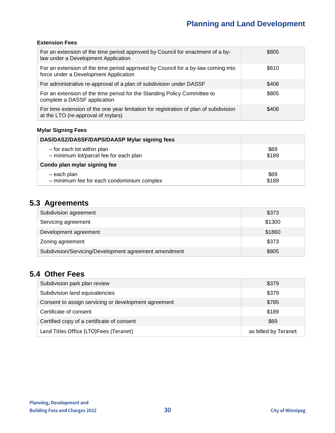## **Extension Fees**

| For an extension of the time period approved by Council for enactment of a by-<br>law under a Development Application       | \$805 |
|-----------------------------------------------------------------------------------------------------------------------------|-------|
| For an extension of the time period approved by Council for a by-law coming into<br>force under a Development Application   | \$610 |
| For administrative re-approval of a plan of subdivision under DASSF                                                         | \$408 |
| For an extension of the time period for the Standing Policy Committee to<br>complete a DASSF application                    | \$805 |
| For time extension of the one year limitation for registration of plan of subdivision<br>at the LTO (re-approval of mylars) | \$408 |

## **Mylar Signing Fees**

| DAS/DASZ/DASSF/DAPS/DAASP Mylar signing fees |       |
|----------------------------------------------|-------|
| - for each lot within plan                   | \$69  |
| - minimum lot/parcel fee for each plan       | \$189 |
| Condo plan mylar signing fee                 |       |
| - each plan                                  | \$69  |
| - minimum fee for each condominium complex   | \$189 |

# <span id="page-29-0"></span>**5.3 Agreements**

| Subdivision agreement                                 | \$373  |
|-------------------------------------------------------|--------|
| Servicing agreement                                   | \$1300 |
| Development agreement                                 | \$1860 |
| Zoning agreement                                      | \$373  |
| Subdivision/Servicing/Development agreement amendment | \$805  |

## <span id="page-29-1"></span>**5.4 Other Fees**

| Subdivision park plan review                         | \$379                |
|------------------------------------------------------|----------------------|
| Subdivision land equivalencies                       | \$379                |
| Consent to assign servicing or development agreement | \$785                |
| Certificate of consent                               | \$189                |
| Certified copy of a certificate of consent           | \$69                 |
| Land Titles Office (LTO)Fees (Teranet)               | as billed by Teranet |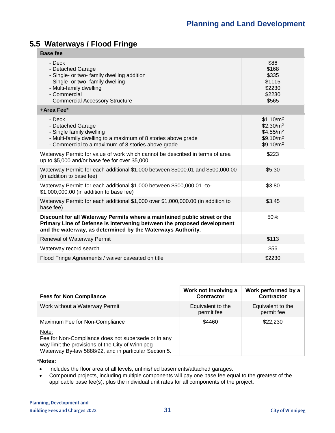# <span id="page-30-0"></span>**5.5 Waterways / Flood Fringe**

| <b>Base fee</b>                                                                                                                                                                                                     |                                                                                                                           |
|---------------------------------------------------------------------------------------------------------------------------------------------------------------------------------------------------------------------|---------------------------------------------------------------------------------------------------------------------------|
| - Deck<br>- Detached Garage<br>- Single- or two- family dwelling addition<br>- Single- or two- family dwelling<br>- Multi-family dwelling<br>- Commercial<br>- Commercial Accessory Structure                       | \$86<br>\$168<br>\$335<br>\$1115<br>\$2230<br>\$2230<br>\$565                                                             |
| +Area Fee*                                                                                                                                                                                                          |                                                                                                                           |
| - Deck<br>- Detached Garage<br>- Single family dwelling<br>- Multi-family dwelling to a maximum of 8 stories above grade<br>- Commercial to a maximum of 8 stories above grade                                      | \$1.10/m <sup>2</sup><br>\$2.30/m <sup>2</sup><br>\$4.55/m <sup>2</sup><br>\$9.10/m <sup>2</sup><br>\$9.10/m <sup>2</sup> |
| Waterway Permit: for value of work which cannot be described in terms of area<br>up to \$5,000 and/or base fee for over \$5,000                                                                                     | \$223                                                                                                                     |
| Waterway Permit: for each additional \$1,000 between \$5000.01 and \$500,000.00<br>(in addition to base fee)                                                                                                        | \$5.30                                                                                                                    |
| Waterway Permit: for each additional \$1,000 between \$500,000.01 -to-<br>\$1,000,000.00 (in addition to base fee)                                                                                                  | \$3.80                                                                                                                    |
| Waterway Permit: for each additional \$1,000 over \$1,000,000.00 (in addition to<br>base fee)                                                                                                                       | \$3.45                                                                                                                    |
| Discount for all Waterway Permits where a maintained public street or the<br>Primary Line of Defense is intervening between the proposed development<br>and the waterway, as determined by the Waterways Authority. | 50%                                                                                                                       |
| Renewal of Waterway Permit                                                                                                                                                                                          | \$113                                                                                                                     |
| Waterway record search                                                                                                                                                                                              | \$56                                                                                                                      |
| Flood Fringe Agreements / waiver caveated on title                                                                                                                                                                  | \$2230                                                                                                                    |

| <b>Fees for Non Compliance</b>                                                                                                                                                                              | Work not involving a<br><b>Contractor</b> | Work performed by a<br><b>Contractor</b> |
|-------------------------------------------------------------------------------------------------------------------------------------------------------------------------------------------------------------|-------------------------------------------|------------------------------------------|
| Work without a Waterway Permit                                                                                                                                                                              | Equivalent to the<br>permit fee           | Equivalent to the<br>permit fee          |
| Maximum Fee for Non-Compliance<br>Note:<br>Fee for Non-Compliance does not supersede or in any<br>way limit the provisions of the City of Winnipeg<br>Waterway By-law 5888/92, and in particular Section 5. | \$4460                                    | \$22,230                                 |

#### **\*Notes:**

- Includes the floor area of all levels, unfinished basements/attached garages.
- Compound projects, including multiple components will pay one base fee equal to the greatest of the applicable base fee(s), plus the individual unit rates for all components of the project.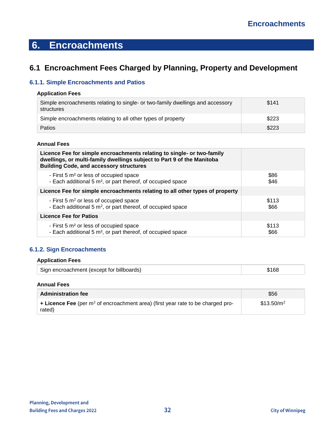# <span id="page-31-0"></span>**6. Encroachments**

# <span id="page-31-1"></span>**6.1 Encroachment Fees Charged by Planning, Property and Development**

## <span id="page-31-2"></span>**6.1.1. Simple Encroachments and Patios**

### **Application Fees**

| Simple encroachments relating to single- or two-family dwellings and accessory<br>structures | \$141 |
|----------------------------------------------------------------------------------------------|-------|
| Simple encroachments relating to all other types of property                                 | \$223 |
| Patios                                                                                       | \$223 |

#### **Annual Fees**

| Licence Fee for simple encroachments relating to single- or two-family<br>dwellings, or multi-family dwellings subject to Part 9 of the Manitoba<br><b>Building Code, and accessory structures</b> |       |
|----------------------------------------------------------------------------------------------------------------------------------------------------------------------------------------------------|-------|
| - First 5 m <sup>2</sup> or less of occupied space                                                                                                                                                 | \$86  |
| - Each additional 5 m <sup>2</sup> , or part thereof, of occupied space                                                                                                                            | \$46  |
| Licence Fee for simple encroachments relating to all other types of property                                                                                                                       |       |
| - First 5 m <sup>2</sup> or less of occupied space                                                                                                                                                 | \$113 |
| - Each additional 5 $m^2$ , or part thereof, of occupied space                                                                                                                                     | \$66  |
| <b>Licence Fee for Patios</b>                                                                                                                                                                      |       |
| - First 5 m <sup>2</sup> or less of occupied space                                                                                                                                                 | \$113 |
| - Each additional 5 m <sup>2</sup> , or part thereof, of occupied space                                                                                                                            | \$66  |

## <span id="page-31-3"></span>**6.1.2. Sign Encroachments**

#### **Application Fees**

| Sign encroachment (except for billboards) | \$168 |
|-------------------------------------------|-------|
|-------------------------------------------|-------|

#### **Annual Fees**

| <b>Administration fee</b>                                                                           | \$56                   |
|-----------------------------------------------------------------------------------------------------|------------------------|
| <b>+ Licence Fee</b> (per $m^2$ of encroachment area) (first year rate to be charged pro-<br>rated) | \$13.50/m <sup>2</sup> |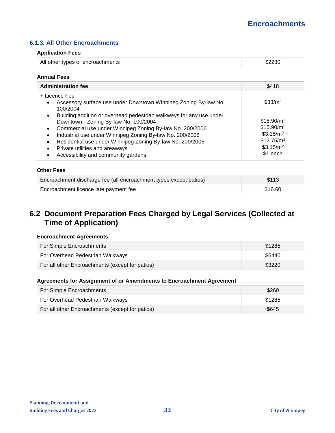### <span id="page-32-0"></span>**6.1.3. All Other Encroachments**

#### **Application Fees**

| All other types of encroachments |  |
|----------------------------------|--|
|                                  |  |

#### **Annual Fees**

| <b>Administration fee</b>                                                                                                                                                                                                                                                                                                                                                                                                                                | \$418                                                                                                                                    |
|----------------------------------------------------------------------------------------------------------------------------------------------------------------------------------------------------------------------------------------------------------------------------------------------------------------------------------------------------------------------------------------------------------------------------------------------------------|------------------------------------------------------------------------------------------------------------------------------------------|
| + Licence Fee<br>Accessory surface use under Downtown Winnipeg Zoning By-law No.<br>$\bullet$<br>100/2004                                                                                                                                                                                                                                                                                                                                                | $$33/m^2$                                                                                                                                |
| Building addition or overhead pedestrian walkways for any use under<br>$\bullet$<br>Downtown - Zoning By-law No. 100/2004<br>Commercial use under Winnipeg Zoning By-law No. 200/2006<br>$\bullet$<br>Industrial use under Winnipeg Zoning By-law No. 200/2006<br>$\bullet$<br>Residential use under Winnipeg Zoning By-law No. 200/2006<br>$\bullet$<br>Private utilities and areaways<br>$\bullet$<br>Accessibility and community gardens<br>$\bullet$ | \$15.90/m <sup>2</sup><br>\$15.90/m <sup>2</sup><br>\$3.15/m <sup>2</sup><br>\$12.75/m <sup>2</sup><br>\$3.15/m <sup>2</sup><br>\$1 each |

#### **Other Fees**

| Encroachment discharge fee (all encroachment types except patios) | \$113   |
|-------------------------------------------------------------------|---------|
| Encroachment licence late payment fee                             | \$16.60 |

## <span id="page-32-1"></span>**6.2 Document Preparation Fees Charged by Legal Services (Collected at Time of Application)**

#### **Encroachment Agreements**

| For Simple Encroachments                        | \$1285 |
|-------------------------------------------------|--------|
| For Overhead Pedestrian Walkways                | \$6440 |
| For all other Encroachments (except for patios) | \$3220 |

#### **Agreements for Assignment of or Amendments to Encroachment Agreement**

| For Simple Encroachments                        | \$260  |
|-------------------------------------------------|--------|
| For Overhead Pedestrian Walkways                | \$1285 |
| For all other Encroachments (except for patios) | \$645  |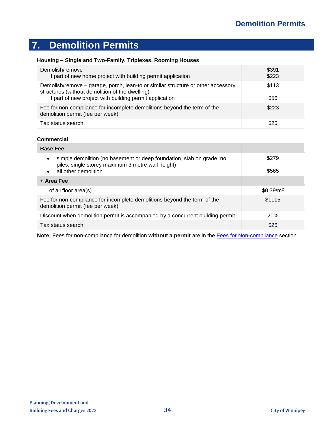# <span id="page-33-0"></span>**7. Demolition Permits**

### **Housing – Single and Two-Family, Triplexes, Rooming Houses**

| Demolish/remove<br>If part of new home project with building permit application                                                                                                                | \$391<br>\$223 |
|------------------------------------------------------------------------------------------------------------------------------------------------------------------------------------------------|----------------|
| Demolish/remove - garage, porch, lean-to or similar structure or other accessory<br>structures (without demolition of the dwelling)<br>If part of new project with building permit application | \$113<br>\$56  |
| Fee for non-compliance for incomplete demolitions beyond the term of the<br>demolition permit (fee per week)                                                                                   | \$223          |
| Tax status search                                                                                                                                                                              | \$26           |

#### **Commercial**

| <b>Base Fee</b>                                                                                                                                   |                       |
|---------------------------------------------------------------------------------------------------------------------------------------------------|-----------------------|
| simple demolition (no basement or deep foundation, slab on grade, no<br>piles, single storey maximum 3 metre wall height)<br>all other demolition | \$279<br>\$565        |
| + Area Fee                                                                                                                                        |                       |
| of all floor area(s)                                                                                                                              | \$0.39/m <sup>2</sup> |
| Fee for non-compliance for incomplete demolitions beyond the term of the<br>demolition permit (fee per week)                                      | \$1115                |
| Discount when demolition permit is accompanied by a concurrent building permit                                                                    | <b>20%</b>            |
| Tax status search                                                                                                                                 | \$26                  |

**Note:** Fees for non-compliance for demolition **without a permit** are in the [Fees for Non-compliance](#page-39-2) section.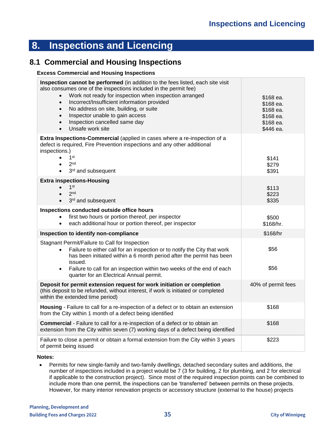# <span id="page-34-0"></span>**8. Inspections and Licencing**

## <span id="page-34-1"></span>**8.1 Commercial and Housing Inspections**

#### **Excess Commercial and Housing Inspections**

| Inspection cannot be performed (in addition to the fees listed, each site visit<br>also consumes one of the inspections included in the permit fee)<br>Work not ready for inspection when inspection arranged<br>$\bullet$<br>Incorrect/Insufficient information provided<br>$\bullet$<br>No address on site, building, or suite<br>$\bullet$<br>Inspector unable to gain access<br>$\bullet$<br>Inspection cancelled same day<br>$\bullet$<br>Unsafe work site<br>$\bullet$ | \$168 ea.<br>\$168 ea.<br>\$168 ea.<br>\$168 ea.<br>\$168 ea.<br>\$446 ea. |
|------------------------------------------------------------------------------------------------------------------------------------------------------------------------------------------------------------------------------------------------------------------------------------------------------------------------------------------------------------------------------------------------------------------------------------------------------------------------------|----------------------------------------------------------------------------|
| Extra Inspections-Commercial (applied in cases where a re-inspection of a<br>defect is required, Fire Prevention inspections and any other additional<br>inspections.)<br>1 <sup>st</sup><br>2 <sub>nd</sub><br>3rd and subsequent<br>$\bullet$                                                                                                                                                                                                                              | \$141<br>\$279<br>\$391                                                    |
| <b>Extra inspections-Housing</b><br>1 <sup>st</sup><br>2 <sub>nd</sub><br>3rd and subsequent<br>$\bullet$                                                                                                                                                                                                                                                                                                                                                                    | \$113<br>\$223<br>\$335                                                    |
| Inspections conducted outside office hours<br>first two hours or portion thereof, per inspector<br>$\bullet$<br>each additional hour or portion thereof, per inspector<br>$\bullet$                                                                                                                                                                                                                                                                                          | \$500<br>\$168/hr.                                                         |
| Inspection to identify non-compliance                                                                                                                                                                                                                                                                                                                                                                                                                                        | \$168/hr                                                                   |
| Stagnant Permit/Failure to Call for Inspection<br>Failure to either call for an inspection or to notify the City that work<br>has been initiated within a 6 month period after the permit has been<br>issued.                                                                                                                                                                                                                                                                | \$56<br>\$56                                                               |
| Failure to call for an inspection within two weeks of the end of each<br>$\bullet$<br>quarter for an Electrical Annual permit.                                                                                                                                                                                                                                                                                                                                               |                                                                            |
| Deposit for permit extension request for work initiation or completion<br>(this deposit to be refunded, without interest, if work is initiated or completed<br>within the extended time period)                                                                                                                                                                                                                                                                              | 40% of permit fees                                                         |
| Housing - Failure to call for a re-inspection of a defect or to obtain an extension<br>from the City within 1 month of a defect being identified                                                                                                                                                                                                                                                                                                                             | \$168                                                                      |
| Commercial - Failure to call for a re-inspection of a defect or to obtain an<br>extension from the City within seven (7) working days of a defect being identified                                                                                                                                                                                                                                                                                                           | \$168                                                                      |
| Failure to close a permit or obtain a formal extension from the City within 3 years<br>of permit being issued                                                                                                                                                                                                                                                                                                                                                                | \$223                                                                      |

**Notes:**

• Permits for new single-family and two-family dwellings, detached secondary suites and additions, the number of inspections included in a project would be 7 (3 for building, 2 for plumbing, and 2 for electrical if applicable to the construction project). Since most of the required inspection points can be combined to include more than one permit, the inspections can be 'transferred' between permits on these projects. However, for many interior renovation projects or accessory structure (external to the house) projects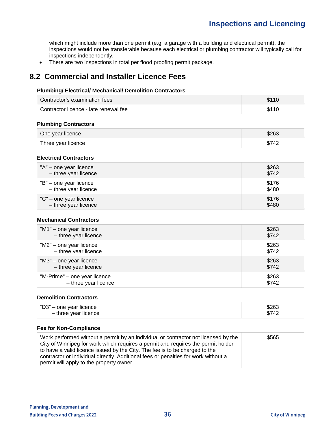which might include more than one permit (e.g. a garage with a building and electrical permit), the inspections would not be transferable because each electrical or plumbing contractor will typically call for inspections independently.

• There are two inspections in total per flood proofing permit package.

# <span id="page-35-0"></span>**8.2 Commercial and Installer Licence Fees**

#### **Plumbing/ Electrical/ Mechanical/ Demolition Contractors**

| Contractor's examination fees         | \$110 |
|---------------------------------------|-------|
| Contractor licence - late renewal fee | \$110 |

#### **Plumbing Contractors**

| One year licence   | \$263 |
|--------------------|-------|
| Three year licence | \$742 |

#### **Electrical Contractors**

| "A" - one year licence | \$263 |
|------------------------|-------|
| - three year licence   | \$742 |
| "B" - one year licence | \$176 |
| - three year licence   | \$480 |
| "C" – one year licence | \$176 |
| - three year licence   | \$480 |

#### **Mechanical Contractors**

| "M1" – one year licence      | \$263 |
|------------------------------|-------|
| - three year licence         | \$742 |
| "M2" – one year licence      | \$263 |
| - three year licence         | \$742 |
| "M3" – one year licence      | \$263 |
| - three year licence         | \$742 |
| "M-Prime" - one year licence | \$263 |
| - three year licence         | \$742 |

#### **Demolition Contractors**

| "D3" – one year licence | \$263 |
|-------------------------|-------|
| - three year licence    |       |

#### **Fee for Non-Compliance**

| Work performed without a permit by an individual or contractor not licensed by the<br>City of Winnipeg for work which requires a permit and requires the permit holder<br>to have a valid licence issued by the City. The fee is to be charged to the<br>contractor or individual directly. Additional fees or penalties for work without a | \$565 |
|---------------------------------------------------------------------------------------------------------------------------------------------------------------------------------------------------------------------------------------------------------------------------------------------------------------------------------------------|-------|
| permit will apply to the property owner.                                                                                                                                                                                                                                                                                                    |       |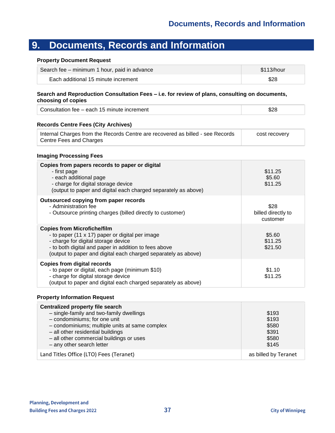# <span id="page-36-0"></span>**9. Documents, Records and Information**

#### **Property Document Request**

| Search fee – minimum 1 hour, paid in advance | \$113/hour |
|----------------------------------------------|------------|
| Each additional 15 minute increment          | \$28       |

#### **Search and Reproduction Consultation Fees – i.e. for review of plans, consulting on documents, choosing of copies**

| Consultation fee – each 15 minute increment | \$28 |
|---------------------------------------------|------|
|---------------------------------------------|------|

#### **Records Centre Fees (City Archives)**

| Internal Charges from the Records Centre are recovered as billed - see Records | cost recovery |
|--------------------------------------------------------------------------------|---------------|
| Centre Fees and Charges                                                        |               |

#### **Imaging Processing Fees**

| Copies from papers records to paper or digital<br>- first page<br>- each additional page<br>- charge for digital storage device<br>(output to paper and digital each charged separately as above)                                                       | \$11.25<br>\$5.60<br>\$11.25           |
|---------------------------------------------------------------------------------------------------------------------------------------------------------------------------------------------------------------------------------------------------------|----------------------------------------|
| Outsourced copying from paper records<br>- Administration fee<br>- Outsource printing charges (billed directly to customer)                                                                                                                             | \$28<br>billed directly to<br>customer |
| <b>Copies from Microfiche/film</b><br>- to paper (11 x 17) paper or digital per image<br>- charge for digital storage device<br>- to both digital and paper in addition to fees above<br>(output to paper and digital each charged separately as above) | \$5.60<br>\$11.25<br>\$21.50           |
| <b>Copies from digital records</b><br>- to paper or digital, each page (minimum \$10)<br>- charge for digital storage device<br>(output to paper and digital each charged separately as above)                                                          | \$1.10<br>\$11.25                      |

#### **Property Information Request**

| Centralized property file search<br>- single-family and two-family dwellings<br>- condominiums; for one unit<br>- condominiums; multiple units at same complex<br>- all other residential buildings<br>- all other commercial buildings or uses<br>- any other search letter | \$193<br>\$193<br>\$580<br>\$391<br>\$580<br>\$145 |
|------------------------------------------------------------------------------------------------------------------------------------------------------------------------------------------------------------------------------------------------------------------------------|----------------------------------------------------|
| Land Titles Office (LTO) Fees (Teranet)                                                                                                                                                                                                                                      | as billed by Teranet                               |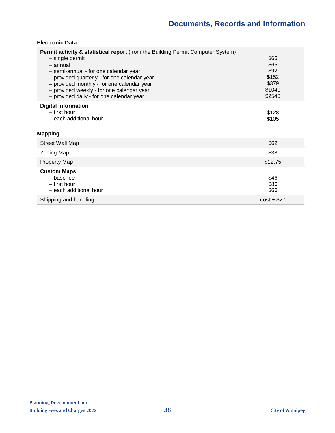### **Electronic Data**

| <b>Permit activity &amp; statistical report</b> (from the Building Permit Computer System)<br>- single permit<br>- annual<br>- semi-annual - for one calendar year<br>- provided quarterly - for one calendar year<br>- provided monthly - for one calendar year<br>- provided weekly - for one calendar year<br>- provided daily - for one calendar year | \$65<br>\$65<br>\$92<br>\$152<br>\$379<br>\$1040<br>\$2540 |
|-----------------------------------------------------------------------------------------------------------------------------------------------------------------------------------------------------------------------------------------------------------------------------------------------------------------------------------------------------------|------------------------------------------------------------|
| <b>Digital information</b><br>- first hour<br>- each additional hour                                                                                                                                                                                                                                                                                      | \$128<br>\$105                                             |

## **Mapping**

| Street Wall Map                                                            | \$62                 |
|----------------------------------------------------------------------------|----------------------|
| Zoning Map                                                                 | \$38                 |
| <b>Property Map</b>                                                        | \$12.75              |
| <b>Custom Maps</b><br>- base fee<br>- first hour<br>- each additional hour | \$46<br>\$86<br>\$66 |
| Shipping and handling                                                      | $cost + $27$         |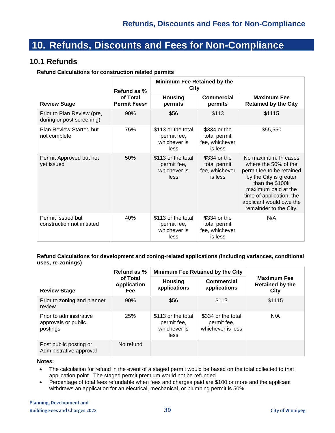# <span id="page-38-0"></span>**10. Refunds, Discounts and Fees for Non-Compliance**

## **10.1 Refunds**

<span id="page-38-1"></span>**Refund Calculations for construction related permits**

|                                                         | Refund as %              |                                                           | <b>Minimum Fee Retained by the</b><br>City                |                                                                                                                                                                                                                                |
|---------------------------------------------------------|--------------------------|-----------------------------------------------------------|-----------------------------------------------------------|--------------------------------------------------------------------------------------------------------------------------------------------------------------------------------------------------------------------------------|
| <b>Review Stage</b>                                     | of Total<br>Permit Fees• | <b>Housing</b><br>permits                                 | <b>Commercial</b><br>permits                              | <b>Maximum Fee</b><br><b>Retained by the City</b>                                                                                                                                                                              |
| Prior to Plan Review (pre,<br>during or post screening) | 90%                      | \$56                                                      | \$113                                                     | \$1115                                                                                                                                                                                                                         |
| Plan Review Started but<br>not complete                 | 75%                      | \$113 or the total<br>permit fee,<br>whichever is<br>less | \$334 or the<br>total permit<br>fee, whichever<br>is less | \$55,550                                                                                                                                                                                                                       |
| Permit Approved but not<br>yet issued                   | 50%                      | \$113 or the total<br>permit fee,<br>whichever is<br>less | \$334 or the<br>total permit<br>fee, whichever<br>is less | No maximum. In cases<br>where the 50% of the<br>permit fee to be retained<br>by the City is greater<br>than the \$100k<br>maximum paid at the<br>time of application, the<br>applicant would owe the<br>remainder to the City. |
| Permit Issued but<br>construction not initiated         | 40%                      | \$113 or the total<br>permit fee,<br>whichever is<br>less | \$334 or the<br>total permit<br>fee, whichever<br>is less | N/A                                                                                                                                                                                                                            |

#### **Refund Calculations for development and zoning-related applications (including variances, conditional uses, re-zonings)**

|                                                            | Refund as %                    | Minimum Fee Retained by the City                          |                                                        |                                                      |
|------------------------------------------------------------|--------------------------------|-----------------------------------------------------------|--------------------------------------------------------|------------------------------------------------------|
| <b>Review Stage</b>                                        | of Total<br>Application<br>Fee | <b>Housing</b><br>applications                            | Commercial<br>applications                             | <b>Maximum Fee</b><br><b>Retained by the</b><br>City |
| Prior to zoning and planner<br>review                      | 90%                            | \$56                                                      | \$113                                                  | \$1115                                               |
| Prior to administrative<br>approvals or public<br>postings | <b>25%</b>                     | \$113 or the total<br>permit fee,<br>whichever is<br>less | \$334 or the total<br>permit fee,<br>whichever is less | N/A                                                  |
| Post public posting or<br>Administrative approval          | No refund                      |                                                           |                                                        |                                                      |

#### **Notes:**

- The calculation for refund in the event of a staged permit would be based on the total collected to that application point. The staged permit premium would not be refunded.
- Percentage of total fees refundable when fees and charges paid are \$100 or more and the applicant withdraws an application for an electrical, mechanical, or plumbing permit is 50%.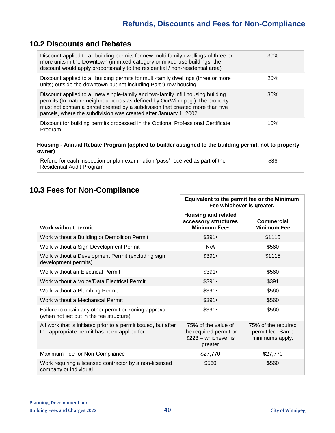# **10.2 Discounts and Rebates**

<span id="page-39-0"></span>

| Discount applied to all building permits for new multi-family dwellings of three or<br>more units in the Downtown (in mixed-category or mixed-use buildings, the<br>discount would apply proportionally to the residential / non-residential area)                                                                    | $30\%$     |
|-----------------------------------------------------------------------------------------------------------------------------------------------------------------------------------------------------------------------------------------------------------------------------------------------------------------------|------------|
| Discount applied to all building permits for multi-family dwellings (three or more<br>units) outside the downtown but not including Part 9 row housing.                                                                                                                                                               | <b>20%</b> |
| Discount applied to all new single-family and two-family infill housing building<br>permits (In mature neighbourhoods as defined by OurWinnipeg.) The property<br>must not contain a parcel created by a subdivision that created more than five<br>parcels, where the subdivision was created after January 1, 2002. | 30%        |
| Discount for building permits processed in the Optional Professional Certificate<br>Program                                                                                                                                                                                                                           | 10%        |

#### **Housing - Annual Rebate Program (applied to builder assigned to the building permit, not to property owner)**

| Refund for each inspection or plan examination 'pass' received as part of the | \$86 |
|-------------------------------------------------------------------------------|------|
| <b>Residential Audit Program</b>                                              |      |

# <span id="page-39-2"></span><span id="page-39-1"></span>**10.3 Fees for Non-Compliance**

|                                                                                                               | Equivalent to the permit fee or the Minimum<br>Fee whichever is greater.          |                                                            |  |
|---------------------------------------------------------------------------------------------------------------|-----------------------------------------------------------------------------------|------------------------------------------------------------|--|
| <b>Work without permit</b>                                                                                    | <b>Housing and related</b><br>accessory structures<br>Minimum Fee•                | Commercial<br><b>Minimum Fee</b>                           |  |
| Work without a Building or Demolition Permit                                                                  | $$391\cdot$                                                                       | \$1115                                                     |  |
| Work without a Sign Development Permit                                                                        | N/A                                                                               | \$560                                                      |  |
| Work without a Development Permit (excluding sign<br>development permits)                                     | $$391\cdot$                                                                       | \$1115                                                     |  |
| Work without an Electrical Permit                                                                             | $$391\cdot$                                                                       | \$560                                                      |  |
| Work without a Voice/Data Electrical Permit                                                                   | $$391\cdot$                                                                       | \$391                                                      |  |
| Work without a Plumbing Permit                                                                                | $$391\cdot$                                                                       | \$560                                                      |  |
| Work without a Mechanical Permit                                                                              | $$391\cdot$                                                                       | \$560                                                      |  |
| Failure to obtain any other permit or zoning approval<br>(when not set out in the fee structure)              | $$391\cdot$                                                                       | \$560                                                      |  |
| All work that is initiated prior to a permit issued, but after<br>the appropriate permit has been applied for | 75% of the value of<br>the required permit or<br>$$223$ – whichever is<br>greater | 75% of the required<br>permit fee. Same<br>minimums apply. |  |
| Maximum Fee for Non-Compliance                                                                                | \$27,770                                                                          | \$27,770                                                   |  |
| Work requiring a licensed contractor by a non-licensed<br>company or individual                               | \$560                                                                             | \$560                                                      |  |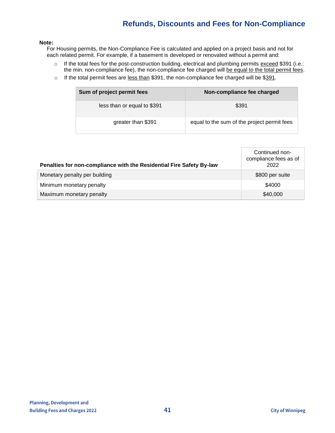# **Refunds, Discounts and Fees for Non-Compliance**

#### **Note:**

For Housing permits, the Non-Compliance Fee is calculated and applied on a project basis and not for each related permit. For example, if a basement is developed or renovated without a permit and:

- o If the total fees for the post-construction building, electrical and plumbing permits exceed \$391 (i.e.: the min. non-compliance fee), the non-compliance fee charged will be equal to the total permit fees.
- o If the total permit fees are less than \$391, the non-compliance fee charged will be \$391.

| Sum of project permit fees  | Non-compliance fee charged                  |
|-----------------------------|---------------------------------------------|
| less than or equal to \$391 | \$391                                       |
| greater than \$391          | equal to the sum of the project permit fees |

| Penalties for non-compliance with the Residential Fire Safety By-law | Continued non-<br>compliance fees as of<br>2022 |
|----------------------------------------------------------------------|-------------------------------------------------|
| Monetary penalty per building                                        | \$800 per suite                                 |
| Minimum monetary penalty                                             | \$4000                                          |
| Maximum monetary penalty                                             | \$40,000                                        |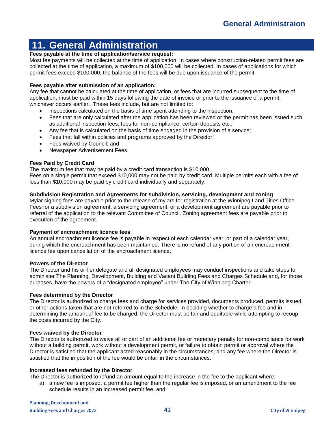# <span id="page-41-0"></span>**11. General Administration**

#### **Fees payable at the time of application/service request:**

Most fee payments will be collected at the time of application. In cases where construction-related permit fees are collected at the time of application, a maximum of \$100,000 will be collected. In cases of applications for which permit fees exceed \$100,000, the balance of the fees will be due upon issuance of the permit.

#### **Fees payable after submission of an application:**

Any fee that cannot be calculated at the time of application, or fees that are incurred subsequent to the time of application, must be paid within 15 days following the date of invoice or prior to the issuance of a permit, whichever occurs earlier. These fees include, but are not limited to:

- Inspections calculated on the basis of time spent attending to the inspection;
- Fees that are only calculated after the application has been reviewed or the permit has been issued such as additional inspection fees, fees for non-compliance, certain deposits etc.;
- Any fee that is calculated on the basis of time engaged in the provision of a service;
- Fees that fall within policies and programs approved by the Director;
- Fees waived by Council; and
- Newspaper Advertisement Fees.

#### **Fees Paid by Credit Card**

The maximum fee that may be paid by a credit card transaction is \$10,000.

Fees on a single permit that exceed \$10,000 may not be paid by credit card. Multiple permits each with a fee of less than \$10,000 may be paid by credit card individually and separately.

#### **Subdivision Registration and Agreements for subdivision, servicing, development and zoning**

Mylar signing fees are payable prior to the release of mylars for registration at the Winnipeg Land Titles Office. Fees for a subdivision agreement, a servicing agreement, or a development agreement are payable prior to referral of the application to the relevant Committee of Council. Zoning agreement fees are payable prior to execution of the agreement.

#### **Payment of encroachment licence fees**

An annual encroachment licence fee is payable in respect of each calendar year, or part of a calendar year, during which the encroachment has been maintained. There is no refund of any portion of an encroachment licence fee upon cancellation of the encroachment licence.

#### **Powers of the Director**

The Director and his or her delegate and all designated employees may conduct inspections and take steps to administer The Planning, Development, Building and Vacant Building Fees and Charges Schedule and, for those purposes, have the powers of a "designated employee" under The City of Winnipeg Charter.

#### **Fees determined by the Director**

The Director is authorized to charge fees and charge for services provided, documents produced, permits issued or other actions taken that are not referred to in the Schedule. In deciding whether to charge a fee and in determining the amount of fee to be charged, the Director must be fair and equitable while attempting to recoup the costs incurred by the City.

#### **Fees waived by the Director**

The Director is authorized to waive all or part of an additional fee or monetary penalty for non-compliance for work without a building permit, work without a development permit, or failure to obtain permit or approval where the Director is satisfied that the applicant acted reasonably in the circumstances; and any fee where the Director is satisfied that the imposition of the fee would be unfair in the circumstances.

#### **Increased fees refunded by the Director**

The Director is authorized to refund an amount equal to the increase in the fee to the applicant where:

a) a new fee is imposed, a permit fee higher than the regular fee is imposed, or an amendment to the fee schedule results in an increased permit fee; and